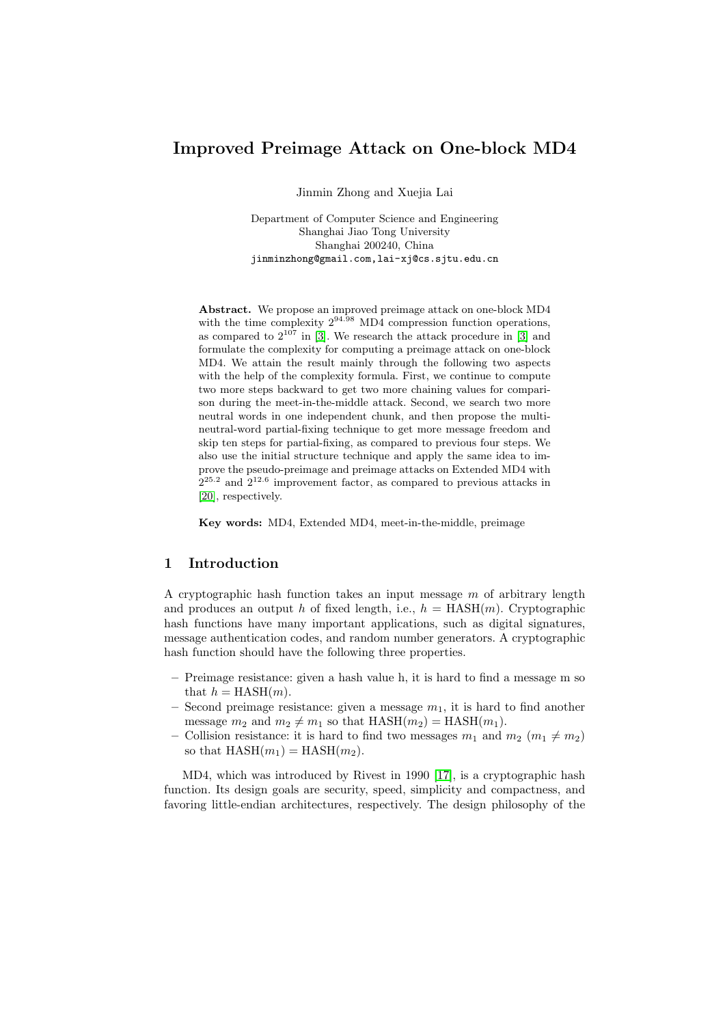# Improved Preimage Attack on One-block MD4

Jinmin Zhong and Xuejia Lai

Department of Computer Science and Engineering Shanghai Jiao Tong University Shanghai 200240, China jinminzhong@gmail.com,lai-xj@cs.sjtu.edu.cn

Abstract. We propose an improved preimage attack on one-block MD4 with the time complexity  $2^{94.98}$  MD4 compression function operations, as compared to  $2^{107}$  in [3]. We research the attack procedure in [3] and formulate the complexity for computing a preimage attack on one-block MD4. We attain the result mainly through the following two aspects with the help of the complexity formula. First, we continue to compute two more steps backward to get two more chaining values for comparison during the meet-in-[th](#page-16-0)e-middle attack. Second, we search tw[o m](#page-16-0)ore neutral words in one independent chunk, and then propose the multineutral-word partial-fixing technique to get more message freedom and skip ten steps for partial-fixing, as compared to previous four steps. We also use the initial structure technique and apply the same idea to improve the pseudo-preimage and preimage attacks on Extended MD4 with  $2^{25.2}$  and  $2^{12.6}$  improvement factor, as compared to previous attacks in [20], respectively.

Key words: MD4, Extended MD4, meet-in-the-middle, preimage

# 1 I[ntr](#page-17-0)oduction

A cryptographic hash function takes an input message  $m$  of arbitrary length and produces an output h of fixed length, i.e.,  $h = \text{HASH}(m)$ . Cryptographic hash functions have many important applications, such as digital signatures, message authentication codes, and random number generators. A cryptographic hash function should have the following three properties.

- Preimage resistance: given a hash value h, it is hard to find a message m so that  $h = HASH(m)$ .
- Second preimage resistance: given a message  $m_1$ , it is hard to find another message  $m_2$  and  $m_2 \neq m_1$  so that  $HASH(m_2) = HASH(m_1)$ .
- Collision resistance: it is hard to find two messages  $m_1$  and  $m_2$  ( $m_1 \neq m_2$ ) so that  $HASH(m_1) = HASH(m_2)$ .

MD4, which was introduced by Rivest in 1990 [17], is a cryptographic hash function. Its design goals are security, speed, simplicity and compactness, and favoring little-endian architectures, respectively. The design philosophy of the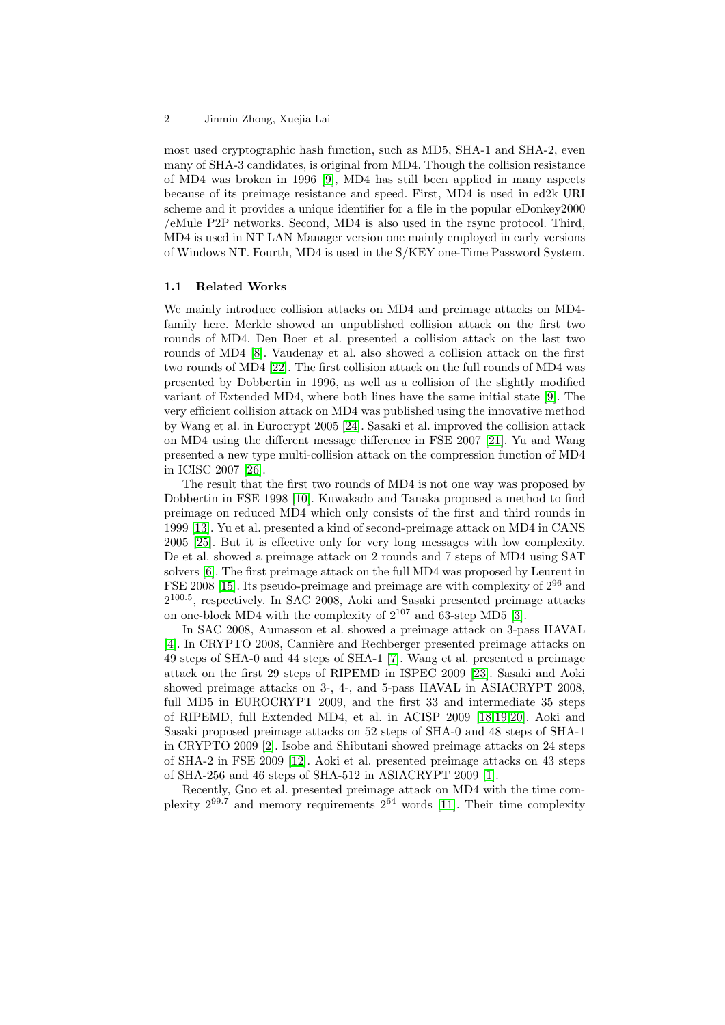most used cryptographic hash function, such as MD5, SHA-1 and SHA-2, even many of SHA-3 candidates, is original from MD4. Though the collision resistance of MD4 was broken in 1996 [9], MD4 has still been applied in many aspects because of its preimage resistance and speed. First, MD4 is used in ed2k URI scheme and it provides a unique identifier for a file in the popular eDonkey2000 /eMule P2P networks. Second, MD4 is also used in the rsync protocol. Third, MD4 is used in NT LAN Man[ag](#page-17-0)er version one mainly employed in early versions of Windows NT. Fourth, MD4 is used in the S/KEY one-Time Password System.

## 1.1 Related Works

We mainly introduce collision attacks on MD4 and preimage attacks on MD4 family here. Merkle showed an unpublished collision attack on the first two rounds of MD4. Den Boer et al. presented a collision attack on the last two rounds of MD4 [8]. Vaudenay et al. also showed a collision attack on the first two rounds of MD4 [22]. The first collision attack on the full rounds of MD4 was presented by Dobbertin in 1996, as well as a collision of the slightly modified variant of Extended MD4, where both lines have the same initial state [9]. The very efficient coll[isi](#page-17-0)on attack on MD4 was published using the innovative method by Wang et al. in E[uroc](#page-17-0)rypt 2005 [24]. Sasaki et al. improved the collision attack on MD4 using the different message difference in FSE 2007 [21]. Yu and Wang presented a new type multi-collision attack on the compression function [of](#page-17-0) MD4 in ICISC 2007 [26].

The result that the first two r[ound](#page-18-0)s of MD4 is not one way was proposed by Dobbertin in FSE 1998 [10]. Kuwakado and Tanaka propose[d a](#page-17-0) method to find preimage on reduced MD4 which only consists of the first and third rounds in 1999 [13]. Yu et [al.](#page-18-0) presented a kind of second-preimage attack on MD4 in CANS 2005 [25]. But it is effective only for very long messages with low complexity. De et al. showed a prei[mage](#page-17-0) attack on 2 rounds and 7 steps of MD4 using SAT solvers [6]. The first preimage attack on the full MD4 was proposed by Leurent in FSE [200](#page-17-0)8 [15]. Its pseudo-preimage and preimage are with complexity of 2<sup>96</sup> and 2 100.5 [, re](#page-18-0)spectively. In SAC 2008, Aoki and Sasaki presented preimage attacks on one-block MD4 with the complexity of  $2^{107}$  and 63-step MD5 [3].

In S[A](#page-16-0)C 2008, Aumasson et al. showed a preimage attack on 3-pass HAVAL [4]. In CR[YPT](#page-17-0)O 2008, Cannière and Rechberger presented preimage attacks on 49 steps of SHA-0 and 44 steps of SHA-1 [7]. Wang et al. presented a preimage attack on the first 29 steps of RIPEMD in ISPEC 2009 [23]. Sa[sa](#page-16-0)ki and Aoki showed preimage attacks on 3-, 4-, and 5-pass HAVAL in ASIACRYPT 2008, [ful](#page-16-0)l MD5 in EUROCRYPT 2009, and the first 33 and intermediate 35 steps of RIPEMD, full Extended MD4, et al. [in](#page-16-0) ACISP 2009 [18,19,20]. Aoki and Sasaki proposed preimage attacks on 52 steps of SHA-0 a[nd](#page-18-0) 48 steps of SHA-1 in CRYPTO 2009 [2]. Isobe and Shibutani showed preimage attacks on 24 steps of SHA-2 in FSE 2009 [12]. Aoki et al. presented preimage attacks on 43 steps of SHA-256 and 46 steps of SHA-512 in ASIACRYPT 200[9 \[1\].](#page-17-0)

Recently, Guo et al. presented preimage attack on MD4 with the time complexity  $2^{99.7}$  and [me](#page-16-0)mory requirements  $2^{64}$  words [11]. Their time complexity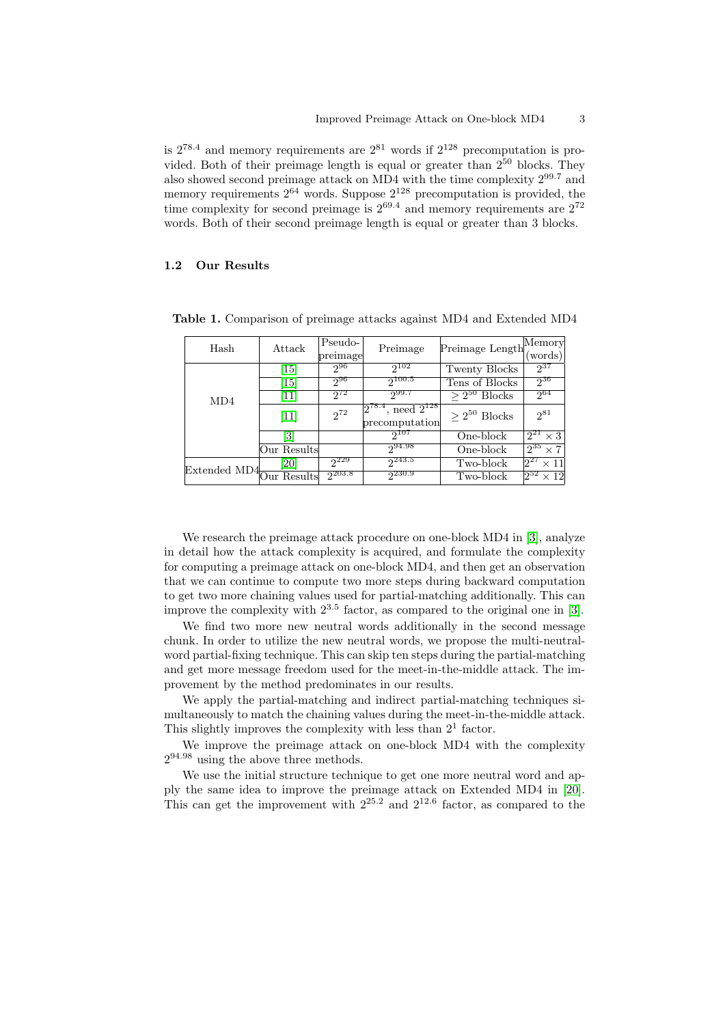<span id="page-2-0"></span>is  $2^{78.4}$  and memory requirements are  $2^{81}$  words if  $2^{128}$  precomputation is provided. Both of their preimage length is equal or greater than  $2^{50}$  blocks. They also showed second preimage attack on MD4 with the time complexity 2<sup>99</sup>.<sup>7</sup> and memory requirements  $2^{64}$  words. Suppose  $2^{128}$  precomputation is provided, the time complexity for second preimage is  $2^{69.4}$  and memory requirements are  $2^{72}$ words. Both of their second preimage length is equal or greater than 3 blocks.

#### 1.2 Our Results

| Hash                                        | Attack            | Pseudo-<br>preimage | Preimage                                                       | Preimage Length      | Memory<br>(words)      |
|---------------------------------------------|-------------------|---------------------|----------------------------------------------------------------|----------------------|------------------------|
|                                             | $\vert 15 \vert$  | $2^{96}$            | $2^{102}$                                                      | Twenty Blocks        | $2^{37}$               |
|                                             | $\left[15\right]$ | 296                 | 2100.5                                                         | Tens of Blocks       | $2^{36}$               |
| MD4                                         | 11                | $2^{72}$            | 299.7                                                          | $\geq 2^{50}$ Blocks | $2^{64}$               |
|                                             | $[11]$            | $2^{72}$            | <sup>4</sup> , need $2^{128}$<br>$12^{78.4}$<br>precomputation | $> 2^{50}$ Blocks    | $2^{81}$               |
|                                             | [3]               |                     | 2107                                                           | One-block            | $2^{21} \times 3$      |
|                                             | Our Results       |                     | 294.98                                                         | One-block            | $2^{35} \times 7$      |
| Extended MD4 $\frac{1}{\text{Our Results}}$ | 20                | $2^{229}$           | $2^{243.5}$                                                    | Two-block            | $2^{27} \times 11^{1}$ |
|                                             |                   | $2^{203.8}$         | <sub>2230.9</sub>                                              | Two-block            | $2^{52} \times 12$     |

Table 1. Comparison of preimage attacks against MD4 and Extended MD4

We research the preimage attack procedure on one-block MD4 in [3], analyze in detail how the attack complexity is acquired, and formulate the complexity for computing a preimage attack on one-block MD4, and then get an observation that we can continue to compute two more steps during backward computation to get two more chaining values used for partial-matching additionall[y.](#page-16-0) This can improve the complexity with  $2^{3.5}$  factor, as compared to the original one in [3].

We find two more new neutral words additionally in the second message chunk. In order to utilize the new neutral words, we propose the multi-neutralword partial-fixing technique. This can skip ten steps during the partial-matching and get more message freedom used for the meet-in-the-middle attack. The [im](#page-16-0)provement by the method predominates in our results.

We apply the partial-matching and indirect partial-matching techniques simultaneously to match the chaining values during the meet-in-the-middle attack. This slightly improves the complexity with less than  $2<sup>1</sup>$  factor.

We improve the preimage attack on one-block MD4 with the complexity  $2^{94.98}$  using the above three methods.

We use the initial structure technique to get one more neutral word and apply the same idea to improve the preimage attack on Extended MD4 in [20]. This can get the improvement with  $2^{25.2}$  and  $2^{12.6}$  factor, as compared to the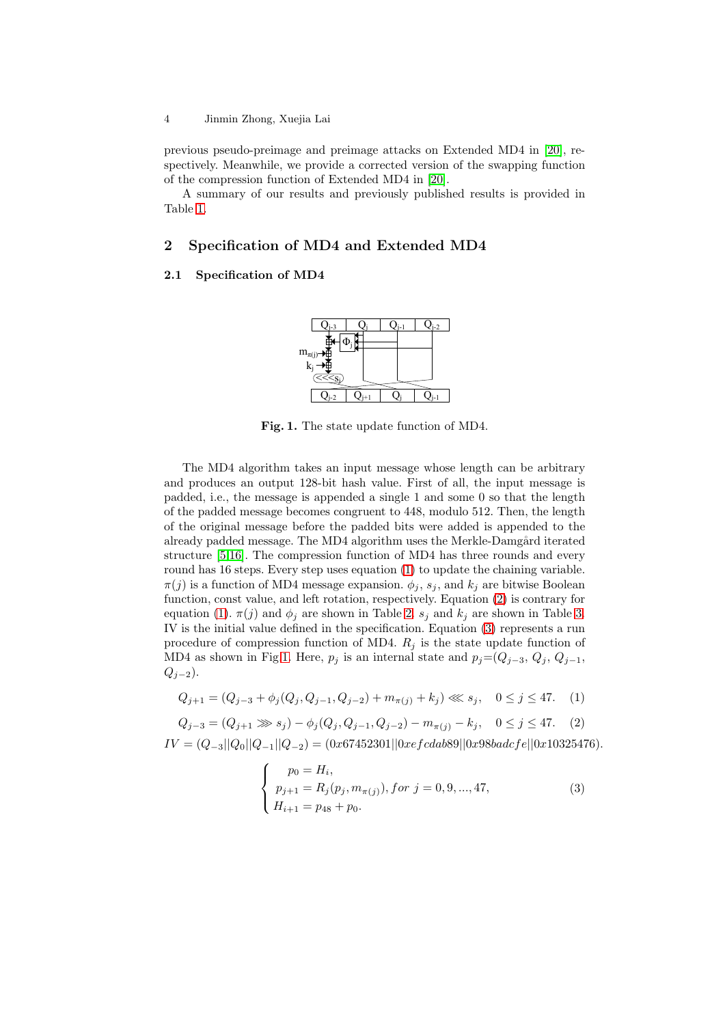#### <span id="page-3-0"></span>4 Jinmin Zhong, Xuejia Lai

previous pseudo-preimage and preimage attacks on Extended MD4 in [20], respectively. Meanwhile, we provide a corrected version of the swapping function of the compression function of Extended MD4 in [20].

A summary of our results and previously published results is provided in Table 1.

# 2 Specification of MD4 and Extend[ed](#page-17-0) MD4

### 2.1 [Sp](#page-2-0)ecification of MD4



Fig. 1. The state update function of MD4.

The MD4 algorithm takes an input message whose length can be arbitrary and produces an output 128-bit hash value. First of all, the input message is padded, i.e., the message is appended a single 1 and some 0 so that the length of the padded message becomes congruent to 448, modulo 512. Then, the length of the original message before the padded bits were added is appended to the already padded message. The MD4 algorithm uses the Merkle-Damgård iterated structure [5,16]. The compression function of MD4 has three rounds and every round has 16 steps. Every step uses equation (1) to update the chaining variable.  $\pi(j)$  is a function of MD4 message expansion.  $\phi_j$ ,  $s_j$ , and  $k_j$  are bitwise Boolean function, const value, and left rotation, respectively. Equation (2) is contrary for equation ([1\)](#page-16-0).  $\pi(j)$  and  $\phi_j$  are shown in Table 2.  $s_j$  and  $k_j$  are shown in Table 3. IV is the initial value defined in the specification. Equation (3) represents a run procedure of compression function of MD4.  $R_j$  is the state update function of MD4 as shown in Fig.1. Here,  $p_j$  is an internal state and  $p_j=(Q_{j-3}, Q_j, Q_{j-1},$  $Q_{j-2}$ ).

$$
Q_{j+1} = (Q_{j-3} + \phi_j(Q_j, Q_{j-1}, Q_{j-2}) + m_{\pi(j)} + k_j) \ll s_j, \quad 0 \le j \le 47. \tag{1}
$$

$$
Q_{j-3} = (Q_{j+1} \gg s_j) - \phi_j(Q_j, Q_{j-1}, Q_{j-2}) - m_{\pi(j)} - k_j, \quad 0 \le j \le 47. \tag{2}
$$
  

$$
IV = (Q_{-3}||Q_0||Q_{-1}||Q_{-2}) = (0x67452301||0xefcdab89||0x98badcfe||0x10325476).
$$

$$
\begin{cases}\n p_0 = H_i, \\
 p_{j+1} = R_j(p_j, m_{\pi(j)}), \text{ for } j = 0, 9, ..., 47, \\
 H_{i+1} = p_{48} + p_0.\n\end{cases}
$$
\n(3)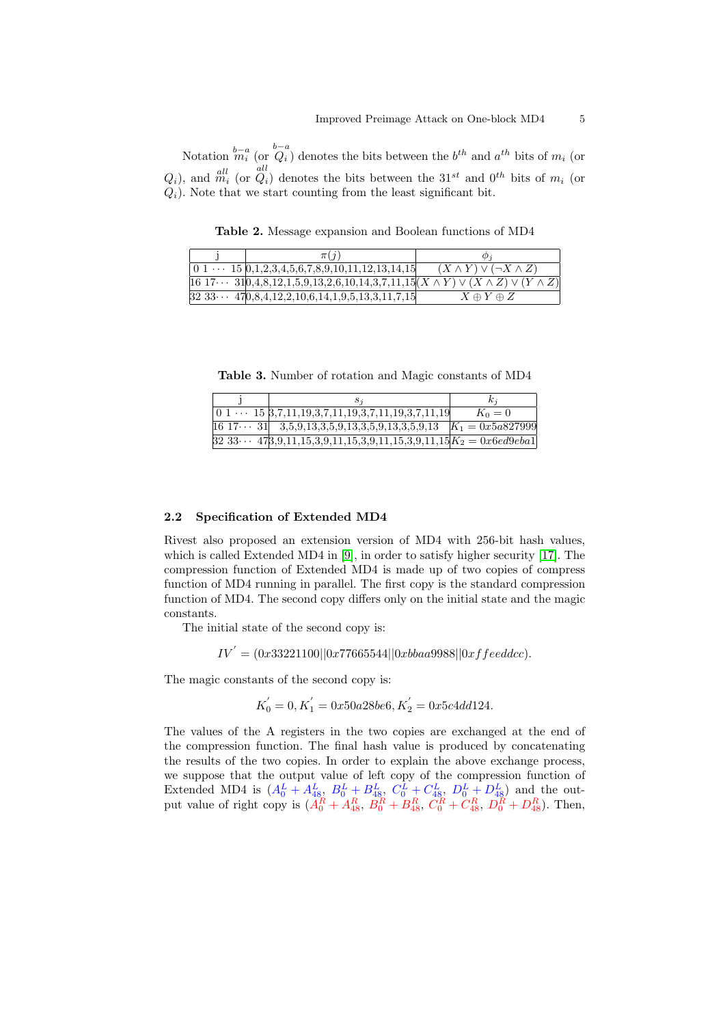Notation  $\stackrel{b-a}{m_i}$  (or  $\stackrel{b-a}{Q_i}$ ) denotes the bits between the  $b^{th}$  and  $a^{th}$  bits of  $m_i$  (or  $Q_i$ ), and  $\stackrel{all}{m_i}$  (or  $\stackrel{all}{Q_i}$ ) denotes the bits between the  $31^{st}$  and  $0^{th}$  bits of  $m_i$  (or  $Q_i$ ). Note that we start counting from the least significant bit.

Table 2. Message expansion and Boolean functions of MD4

|  | $\pi(\eta)$                                                                                        | $\omega$                              |
|--|----------------------------------------------------------------------------------------------------|---------------------------------------|
|  | $\vert 0\ 1\ \cdots\ 15\ \vert 0,1,2,3,4,5,6,7,8,9,10,11,12,13,14,15\vert$                         | $(X \wedge Y) \vee (\neg X \wedge Z)$ |
|  | $[16\ 17\cdots\ 310,4,8,12,1,5,9,13,2,6,10,14,3,7,11,15](X\wedge Y)\vee(X\wedge Z)\vee(Y\wedge Z)$ |                                       |
|  | $32\,33\cdots\,470,8,4,12,2,10,6,14,1,9,5,13,3,11,7,15$                                            | $X \oplus Y \oplus Z$                 |

Table 3. Number of rotation and Magic constants of MD4

|                                                                                               | $\kappa$ |
|-----------------------------------------------------------------------------------------------|----------|
| $\begin{bmatrix} 0 & 1 & \cdots & 15 & 3,7,11,19,3,7,11,19,3,7,11,19,3,7,11,19 \end{bmatrix}$ | $K_0=0$  |
| $[16\ 17\cdots\ 31]$ 3,5,9,13,3,5,9,13,3,5,9,13,3,5,9,13 $K_1 = 0x5a827999$                   |          |
| $32\ 33\cdots\ 473,9,11,15,3,9,11,15,3,9,11,15,3,9,11,15 K_2=0 \times 6 \times 49 \times 641$ |          |

#### 2.2 Specification of Extended MD4

Rivest also proposed an extension version of MD4 with 256-bit hash values, which is called Extended MD4 in [9], in order to satisfy higher security [17]. The compression function of Extended MD4 is made up of two copies of compress function of MD4 running in parallel. The first copy is the standard compression function of MD4. The second copy differs only on the initial state and the magic constants.

The initial state of the second copy is:

 $IV^{'} = (0x33221100||0x77665544||0xbbaa9988||0xffeeddc).$ 

The magic constants of the second copy is:

$$
K_0^{'} = 0, K_1^{'} = 0x50a28be6, K_2^{'} = 0x5c4dd124.
$$

The values of the A registers in the two copies are exchanged at the end of the compression function. The final hash value is produced by concatenating the results of the two copies. In order to explain the above exchange process, we suppose that the output value of left copy of the compression function of Extended MD4 is  $(A_0^L + A_{48}^L, B_0^L + B_{48}^L, C_0^L + C_{48}^L, D_0^L + D_{48}^L)$  and the output value of right copy is  $(A_0^R + A_{48}^R, B_0^R + B_{48}^R, C_0^R + C_{48}^R, D_0^R + D_{48}^R)$ . Then,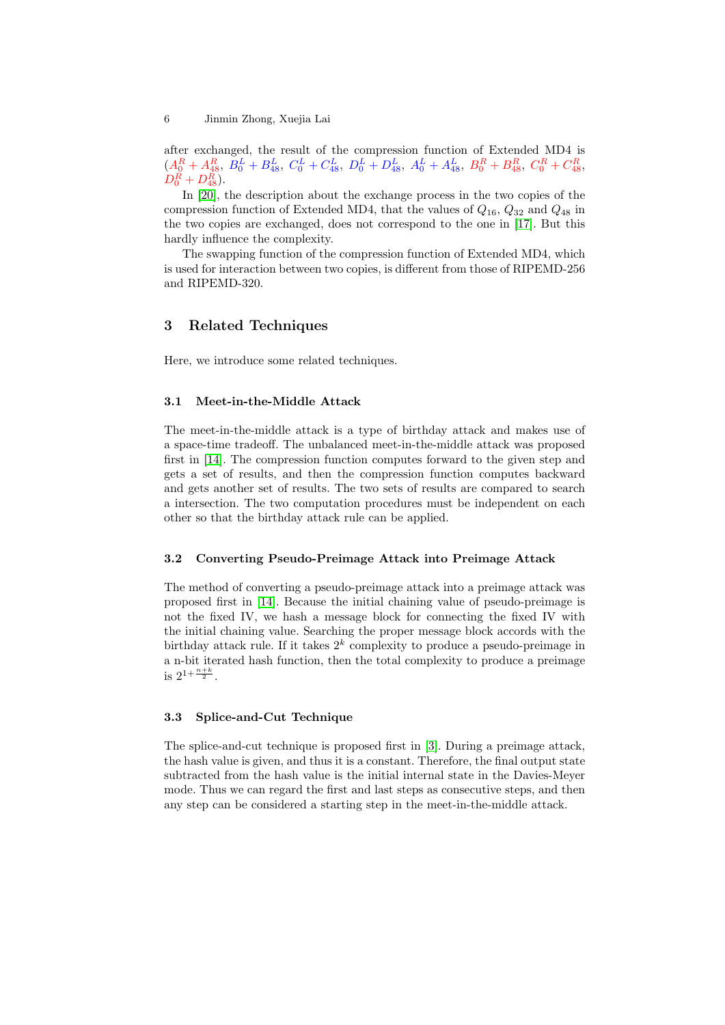after exchanged, the result of the compression function of Extended MD4 is  $(A_0^R + A_{48}^R, B_0^L + B_{48}^L, C_0^L + C_{48}^L, D_0^L + D_{48}^L, A_0^L + A_{48}^L, B_0^R + B_{48}^R, C_0^R + C_{48}^R,$  $D^R_0 + D^R_{48}$ ).

In [20], the description about the exchange process in the two copies of the compression function of Extended MD4, that the values of  $Q_{16}$ ,  $Q_{32}$  and  $Q_{48}$  in the two copies are exchanged, does not correspond to the one in [17]. But this hardly influence the complexity.

Th[e sw](#page-17-0)apping function of the compression function of Extended MD4, which is used for interaction between two copies, is different from those of RIPEMD-256 and RIPEMD-320.

# 3 Related Techniques

Here, we introduce some related techniques.

#### 3.1 Meet-in-the-Middle Attack

The meet-in-the-middle attack is a type of birthday attack and makes use of a space-time tradeoff. The unbalanced meet-in-the-middle attack was proposed first in [14]. The compression function computes forward to the given step and gets a set of results, and then the compression function computes backward and gets another set of results. The two sets of results are compared to search a intersection. The two computation procedures must be independent on each other s[o th](#page-17-0)at the birthday attack rule can be applied.

#### 3.2 Converting Pseudo-Preimage Attack into Preimage Attack

The method of converting a pseudo-preimage attack into a preimage attack was proposed first in [14]. Because the initial chaining value of pseudo-preimage is not the fixed IV, we hash a message block for connecting the fixed IV with the initial chaining value. Searching the proper message block accords with the birthday attack rule. If it takes  $2^k$  complexity to produce a pseudo-preimage in a n-bit iterated h[ash](#page-17-0) function, then the total complexity to produce a preimage is  $2^{1+\frac{n+k}{2}}$ .

### 3.3 Splice-and-Cut Technique

The splice-and-cut technique is proposed first in [3]. During a preimage attack, the hash value is given, and thus it is a constant. Therefore, the final output state subtracted from the hash value is the initial internal state in the Davies-Meyer mode. Thus we can regard the first and last steps as consecutive steps, and then any step can be considered a starting step in the [m](#page-16-0)eet-in-the-middle attack.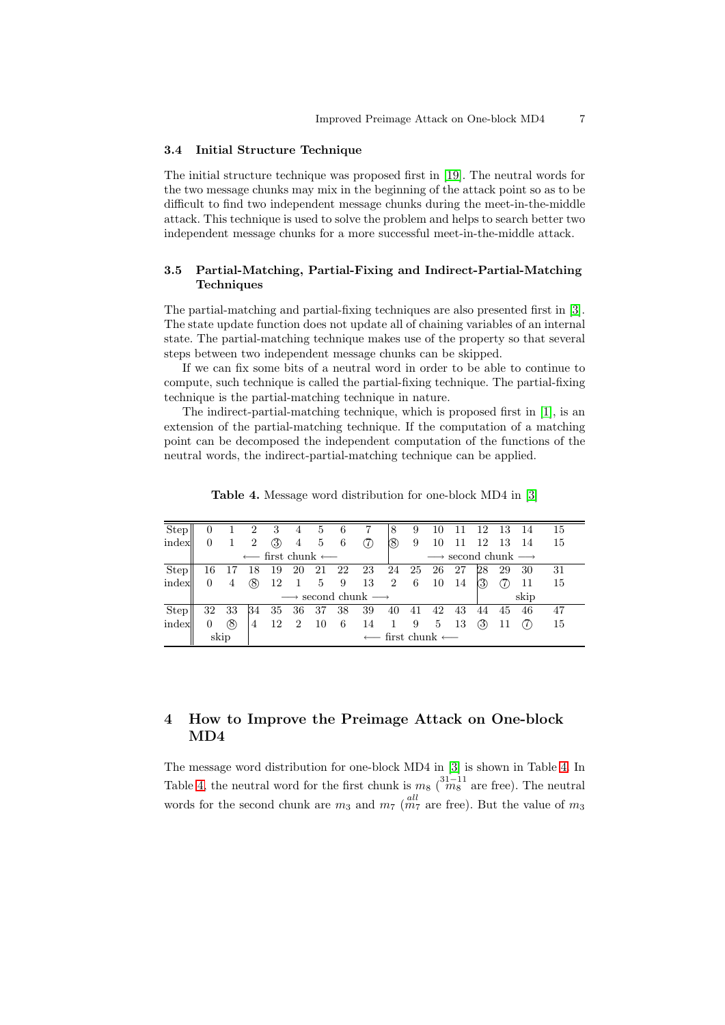### <span id="page-6-0"></span>3.4 Initial Structure Technique

The initial structure technique was proposed first in [19]. The neutral words for the two message chunks may mix in the beginning of the attack point so as to be difficult to find two independent message chunks during the meet-in-the-middle attack. This technique is used to solve the problem and helps to search better two independent message chunks for a more successful m[eet-](#page-17-0)in-the-middle attack.

# 3.5 Partial-Matching, Partial-Fixing and Indirect-Partial-Matching Techniques

The partial-matching and partial-fixing techniques are also presented first in [3]. The state update function does not update all of chaining variables of an internal state. The partial-matching technique makes use of the property so that several steps between two independent message chunks can be skipped.

If we can fix some bits of a neutral word in order to be able to continue [to](#page-16-0) compute, such technique is called the partial-fixing technique. The partial-fixing technique is the partial-matching technique in nature.

The indirect-partial-matching technique, which is proposed first in [1], is an extension of the partial-matching technique. If the computation of a matching point can be decomposed the independent computation of the functions of the neutral words, the indirect-partial-matching technique can be applied.

| Step        |                                                          |      | $\overline{2}$ | 3    | $\overline{4}$ | 5              | 6     |                                       | 8   | 9                                                | 10 |       | 12  | 13 14    |     | 15  |  |
|-------------|----------------------------------------------------------|------|----------------|------|----------------|----------------|-------|---------------------------------------|-----|--------------------------------------------------|----|-------|-----|----------|-----|-----|--|
| index       |                                                          |      | $\overline{2}$ | (3)  | -4             | $5\phantom{0}$ | $6\,$ | (7)                                   | (8) | 9                                                | 10 | -11   |     | 12 13 14 |     | 15  |  |
|             | $\leftarrow$ first chunk $\leftarrow$                    |      |                |      |                |                |       |                                       |     | $\longrightarrow$ second chunk $\longrightarrow$ |    |       |     |          |     |     |  |
| <b>Step</b> |                                                          |      |                |      |                |                |       | 16 17 18 19 20 21 22 23 24 25 26 27   |     |                                                  |    |       | 28  | 29 30    |     | -31 |  |
| index       | 0                                                        | 4    | (8)            | 12   | $\mathbf{1}$   |                |       | 5 9 13 2 6 10 14                      |     |                                                  |    |       | (3) |          | -11 | -15 |  |
|             | $\longrightarrow$ second chunk $\longrightarrow$<br>skip |      |                |      |                |                |       |                                       |     |                                                  |    |       |     |          |     |     |  |
| <b>Step</b> | 32                                                       | - 33 | 34             | 35   | -36            | -37            |       | 38 39                                 | 40  | 41                                               |    | 42 43 |     | 44 45    | 46  | 47  |  |
| index       | 0                                                        | (8)  | 4              | 12 2 |                | $10\,$         | - 6   | 14                                    | 1 9 |                                                  | 5  | -13   | (3) |          |     | 15  |  |
|             | skip                                                     |      |                |      |                |                |       | $\leftarrow$ first chunk $\leftarrow$ |     |                                                  |    |       |     |          |     |     |  |

Table 4. Message word distribution for one-block MD4 in [3]

# 4 How to Improve the Preimage Attack on One-block MD4

The message word distribution for one-block MD4 in [3] is shown in Table 4. In Table 4, the neutral word for the first chunk is  $m_8 \binom{31-11}{m_8}$  are free). The neutral words for the second chunk are  $m_3$  and  $m_7$  ( $m_7^{all}$  are free). But the value of  $m_3$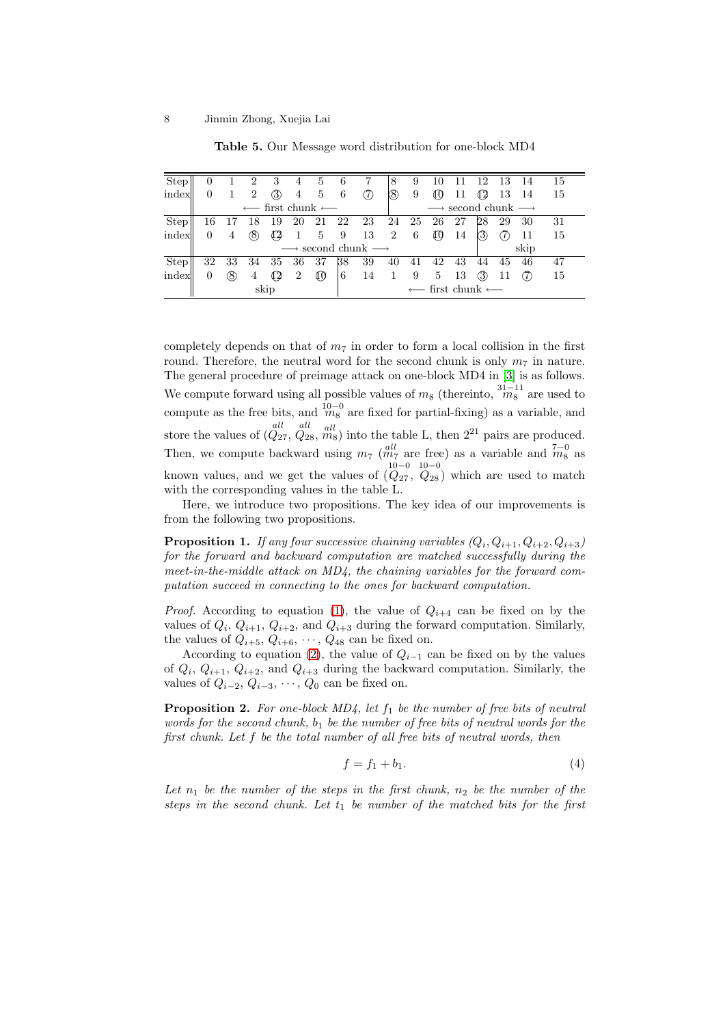<span id="page-7-0"></span>

| Step        | $\Omega$ |                                                  |                  | 3     | 4              | 5                            | 6      |                              | 8                                                | 9  | 10             |    | -12              | -13   | - 14 | 15 |  |
|-------------|----------|--------------------------------------------------|------------------|-------|----------------|------------------------------|--------|------------------------------|--------------------------------------------------|----|----------------|----|------------------|-------|------|----|--|
| index       | 0        |                                                  | 2                | (3)   | 4              | 5                            | 6      | (7)                          | (8)                                              | 9  | ¢θ             | 11 | $\mathfrak{a}_2$ | 13 14 |      | 15 |  |
|             |          |                                                  | $\longleftarrow$ |       |                | first chunk $\longleftarrow$ |        |                              | $\longrightarrow$ second chunk $\longrightarrow$ |    |                |    |                  |       |      |    |  |
| <b>Step</b> | 16       |                                                  | -18              | - 19  |                | 20 21                        | 22     |                              | 23 24 25                                         |    | 26             | 27 | 28               | 29    | -30  | 31 |  |
| index       | 0        | 4                                                | (8)              |       | -1             |                              | 5 9 13 |                              | 2                                                | 6  | $\mathbb{I}^0$ | 14 | 3                |       | -11  | 15 |  |
|             |          | $\longrightarrow$ second chunk $\longrightarrow$ | skip             |       |                |                              |        |                              |                                                  |    |                |    |                  |       |      |    |  |
| <b>Step</b> | 32       | 33                                               | 34               | 35 36 |                | 37                           | 38     | 39                           | 40                                               | 41 | 42             | 43 | 44               | -45   | 46   | 47 |  |
| index       | 0        | (8)                                              | 4                | 42    | $\overline{2}$ | $\mathfrak{g}_0$             | 6      | 14                           | -1                                               | 9  | 5              | 13 | (3)              |       |      | 15 |  |
|             |          |                                                  |                  | skip  |                |                              |        | first chunk $\longleftarrow$ |                                                  |    |                |    |                  |       |      |    |  |

Table 5. Our Message word distribution for one-block MD4

completely depends on that of  $m<sub>7</sub>$  in order to form a local collision in the first round. Therefore, the neutral word for the second chunk is only  $m_7$  in nature. The general procedure of preimage attack on one-block MD4 in [3] is as follows. We compute forward using all possible values of  $m_8$  (thereinto,  $\frac{31-11}{m_8}$  are used to compute as the free bits, and  $\frac{10-0}{m_8}$  are fixed for partial-fixing) as a variable, and store the values of  $\left(Q_{27}, Q_{28}, m_8\right)$  into the table L, then  $2^{21}$  pair[s a](#page-16-0)re produced. Then, we compute backward using  $m_7 \left( \frac{all}{m_7} \right)$  are free) as a variable and  $\frac{7-0}{m_8}$  as known values, and we get the values of  $(Q_{27}, Q_{28})$  which are used to match with the corresponding values in the table L.

Here, we introduce two propositions. The key idea of our improvements is from the following two propositions.

**Proposition 1.** If any four successive chaining variables  $(Q_i, Q_{i+1}, Q_{i+2}, Q_{i+3})$ for the forward and backward computation are matched successfully during the meet-in-the-middle attack on MD4, the chaining variables for the forward computation succeed in connecting to the ones for backward computation.

*Proof.* According to equation (1), the value of  $Q_{i+4}$  can be fixed on by the values of  $Q_i$ ,  $Q_{i+1}$ ,  $Q_{i+2}$ , and  $Q_{i+3}$  during the forward computation. Similarly, the values of  $Q_{i+5}$ ,  $Q_{i+6}$ ,  $\cdots$ ,  $Q_{48}$  can be fixed on.

According to equation (2), the value of  $Q_{i-1}$  can be fixed on by the values of  $Q_i$ ,  $Q_{i+1}$ ,  $Q_{i+2}$ , and  $Q_{i+3}$  d[uri](#page-3-0)ng the backward computation. Similarly, the values of  $Q_{i-2}, Q_{i-3}, \cdots, Q_0$  can be fixed on.

**Proposition 2.** For one-b[loc](#page-3-0)k  $MD<sub>4</sub>$ , let  $f<sub>1</sub>$  be the number of free bits of neutral words for the second chunk,  $b_1$  be the number of free bits of neutral words for the first chunk. Let f be the total number of all free bits of neutral words, then

$$
f = f_1 + b_1. \tag{4}
$$

Let  $n_1$  be the number of the steps in the first chunk,  $n_2$  be the number of the steps in the second chunk. Let  $t_1$  be number of the matched bits for the first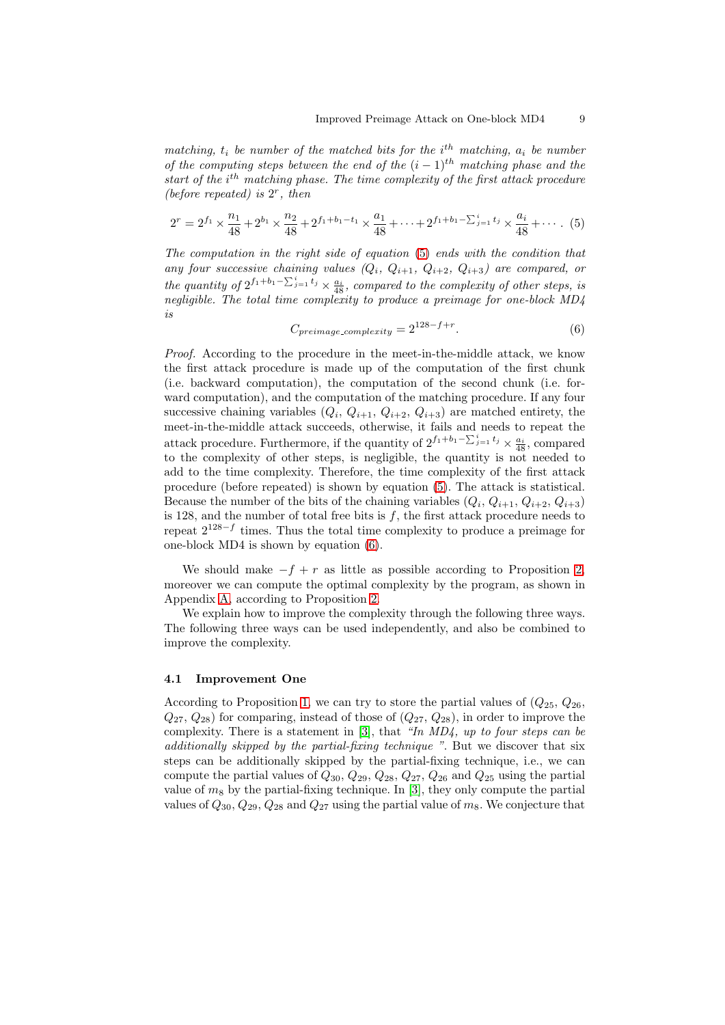matching,  $t_i$  be number of the matched bits for the  $i<sup>th</sup>$  matching,  $a_i$  be number of the computing steps between the end of the  $(i - 1)$ <sup>th</sup> matching phase and the start of the  $i^{th}$  matching phase. The time complexity of the first attack procedure (before repeated) is  $2^r$ , then

$$
2^{r} = 2^{f_1} \times \frac{n_1}{48} + 2^{b_1} \times \frac{n_2}{48} + 2^{f_1 + b_1 - t_1} \times \frac{a_1}{48} + \dots + 2^{f_1 + b_1 - \sum_{j=1}^{i} t_j} \times \frac{a_i}{48} + \dotsb
$$
 (5)

The computation in the right side of equation (5) ends with the condition that any four successive chaining values  $(Q_i, Q_{i+1}, Q_{i+2}, Q_{i+3})$  are compared, or the quantity of  $2^{f_1 + b_1 - \sum_{j=1}^i t_j} \times \frac{a_i}{48}$ , compared to the complexity of other steps, is negligible. The total time complexity to produce a preimage for one-block MD4 is

$$
C_{preimage\_complexity} = 2^{128 - f + r}.\tag{6}
$$

Proof. According to the procedure in the meet-in-the-middle attack, we know the first attack procedure is made up of the computation of the first chunk (i.e. backward computation), the computation of the second chunk (i.e. forward computation), and the computation of the matching procedure. If any four successive chaining variables  $(Q_i, Q_{i+1}, Q_{i+2}, Q_{i+3})$  are matched entirety, the meet-in-the-middle attack succeeds, otherwise, it fails and needs to repeat the attack procedure. Furthermore, if the quantity of  $2^{f_1+b_1-\sum_{j=1}^{i}t_j} \times \frac{a_i}{48}$ , compared to the complexity of other steps, is negligible, the quantity is not needed to add to the time complexity. Therefore, the time complexity of the first attack procedure (before repeated) is shown by equation (5). The attack is statistical. Because the number of the bits of the chaining variables  $(Q_i, Q_{i+1}, Q_{i+2}, Q_{i+3})$ is 128, and the number of total free bits is  $f$ , the first attack procedure needs to repeat  $2^{128-f}$  times. Thus the total time complexity to produce a preimage for one-block MD4 is shown by equation (6).

We should make  $-f + r$  as little as possible according to Proposition 2, moreover we can compute the optimal complexity by the program, as shown in Appendix A, according to Proposition 2.

We explain how to improve the complexity through the following three ways. The following three ways can be used independently, and also be combined [to](#page-7-0) improve the complexity.

#### 4.1 Improvement One

According to Proposition 1, we can try to store the partial values of  $(Q_{25}, Q_{26}, Q_{26})$  $(Q_{27}, Q_{28})$  for comparing, instead of those of  $(Q_{27}, Q_{28})$ , in order to improve the complexity. There is a statement in [3], that "In MD4, up to four steps can be additionally skipped by the partial-fixing technique ". But we discover that six steps can be additionally [s](#page-7-0)kipped by the partial-fixing technique, i.e., we can compute the partial values of  $Q_{30}$ ,  $Q_{29}$ ,  $Q_{28}$ ,  $Q_{27}$ ,  $Q_{26}$  and  $Q_{25}$  using the partial value of  $m_8$  by the partial-fixing tech[niq](#page-16-0)ue. In [3], they only compute the partial values of  $Q_{30}$ ,  $Q_{29}$ ,  $Q_{28}$  and  $Q_{27}$  using the partial value of  $m_8$ . We conjecture that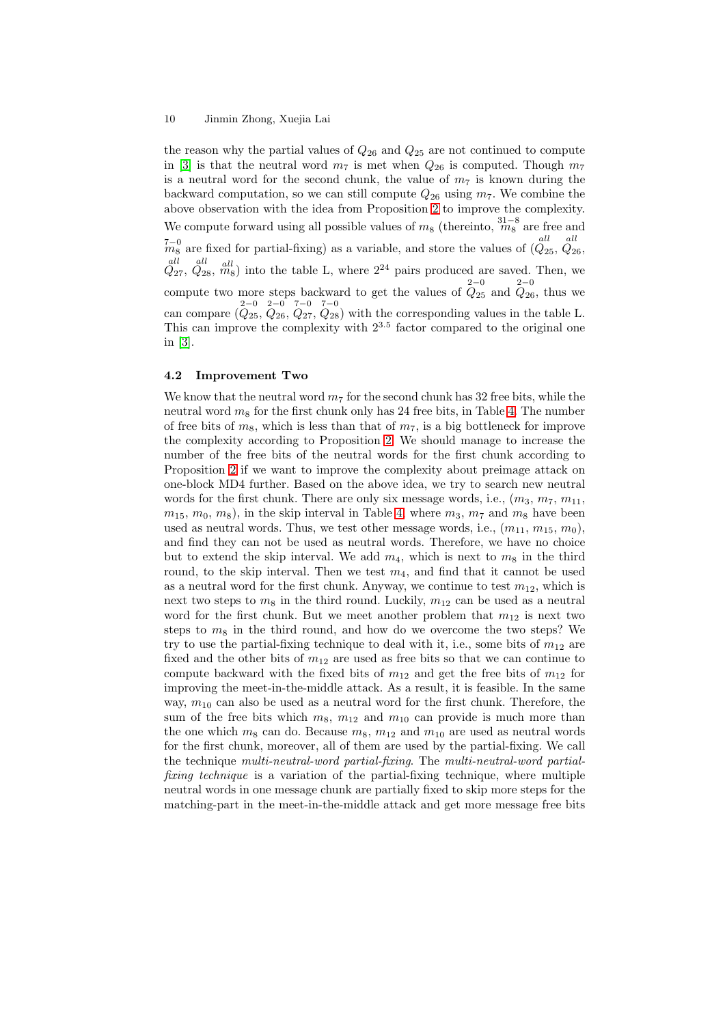#### 10 Jinmin Zhong, Xuejia Lai

the reason why the partial values of  $Q_{26}$  and  $Q_{25}$  are not continued to compute in [3] is that the neutral word  $m_7$  is met when  $Q_{26}$  is computed. Though  $m_7$ is a neutral word for the second chunk, the value of  $m<sub>7</sub>$  is known during the backward computation, so we can still compute  $Q_{26}$  using  $m_7$ . We combine the above observation with the idea from Proposition 2 to improve the complexity. We [co](#page-16-0)mpute forward using all possible values of  $m_8$  (thereinto,  $\frac{31-8}{m_8}$  are free and  $\frac{7-0}{m_8}$  are fixed for partial-fixing) as a variable, and store the values of  $\left(\frac{du}{Q_{25}},\frac{du}{Q_{26}},\right)$ all all  $\hat{Q}_{27}$ ,  $\hat{Q}_{28}$ ,  $\hat{m}_8$ ) into the table L, where  $2^{24}$  pairs [pro](#page-7-0)duced are saved. Then, we compute two more steps backward to get the values of  $\hat{Q}_{25}^{2-0}$  and  $\hat{Q}_{26}$ , thus we can compare  $(\overline{Q}_{25}, \overline{Q}_{26}, \overline{Q}_{27}, \overline{Q}_{28})$  with the corresponding values in the table L. This can improve the complexity with  $2^{3.5}$  factor compared to the original one in [3].

#### 4.2 Improvement Two

W[e k](#page-16-0)now that the neutral word  $m_7$  for the second chunk has 32 free bits, while the neutral word  $m_8$  for the first chunk only has 24 free bits, in Table 4. The number of free bits of  $m_8$ , which is less than that of  $m_7$ , is a big bottleneck for improve the complexity according to Proposition 2. We should manage to increase the number of the free bits of the neutral words for the first chunk according to Proposition 2 if we want to improve the complexity about prei[ma](#page-6-0)ge attack on one-block MD4 further. Based on the above idea, we try to search new neutral words for the first chunk. There are only [six](#page-7-0) message words, i.e.,  $(m_3, m_7, m_{11},$  $m_{15}, m_0, m_8$ , in the skip interval in Table 4, where  $m_3, m_7$  and  $m_8$  have been used as neu[tra](#page-7-0)l words. Thus, we test other message words, i.e.,  $(m_{11}, m_{15}, m_0)$ , and find they can not be used as neutral words. Therefore, we have no choice but to extend the skip interval. We add  $m_4$ , which is next to  $m_8$  in the third round, to the skip interval. Then we test  $m_4$  $m_4$ , and find that it cannot be used as a neutral word for the first chunk. Anyway, we continue to test  $m_{12}$ , which is next two steps to  $m_8$  in the third round. Luckily,  $m_{12}$  can be used as a neutral word for the first chunk. But we meet another problem that  $m_{12}$  is next two steps to  $m_8$  in the third round, and how do we overcome the two steps? We try to use the partial-fixing technique to deal with it, i.e., some bits of  $m_{12}$  are fixed and the other bits of  $m_{12}$  are used as free bits so that we can continue to compute backward with the fixed bits of  $m_{12}$  and get the free bits of  $m_{12}$  for improving the meet-in-the-middle attack. As a result, it is feasible. In the same way,  $m_{10}$  can also be used as a neutral word for the first chunk. Therefore, the sum of the free bits which  $m_8$ ,  $m_{12}$  and  $m_{10}$  can provide is much more than the one which  $m_8$  can do. Because  $m_8$ ,  $m_{12}$  and  $m_{10}$  are used as neutral words for the first chunk, moreover, all of them are used by the partial-fixing. We call the technique multi-neutral-word partial-fixing. The multi-neutral-word partialfixing technique is a variation of the partial-fixing technique, where multiple neutral words in one message chunk are partially fixed to skip more steps for the matching-part in the meet-in-the-middle attack and get more message free bits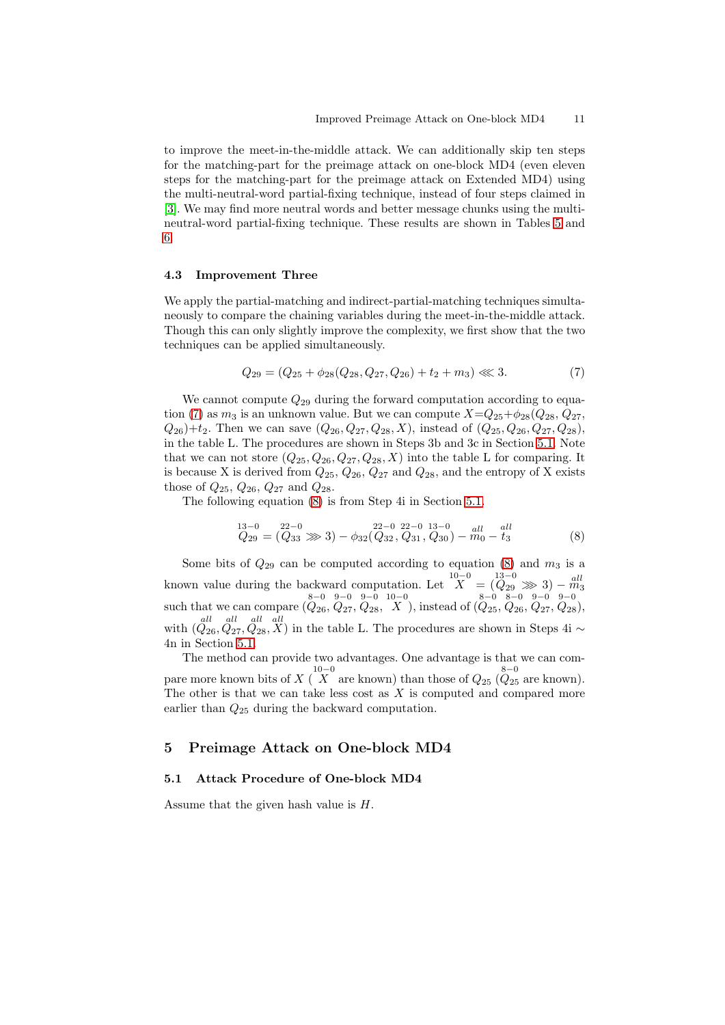to improve the meet-in-the-middle attack. We can additionally skip ten steps for the matching-part for the preimage attack on one-block MD4 (even eleven steps for the matching-part for the preimage attack on Extended MD4) using the multi-neutral-word partial-fixing technique, instead of four steps claimed in [3]. We may find more neutral words and better message chunks using the multineutral-word partial-fixing technique. These results are shown in Tables 5 and 6.

#### [4.3](#page-16-0) Improvement Three

[W](#page-13-0)e apply the partial-matching and indirect-partial-matching techniques simultaneously to compare the chaining variables during the meet-in-the-middle attack. Though this can only slightly improve the complexity, we first show that the two techniques can be applied simultaneously.

$$
Q_{29} = (Q_{25} + \phi_{28}(Q_{28}, Q_{27}, Q_{26}) + t_2 + m_3) \ll 3. \tag{7}
$$

We cannot compute  $Q_{29}$  during the forward computation according to equation (7) as  $m_3$  is an unknown value. But we can compute  $X=Q_{25}+\phi_{28}(Q_{28}, Q_{27}, Q_{27})$  $Q_{26}$ )+ $t_2$ . Then we can save  $(Q_{26}, Q_{27}, Q_{28}, X)$ , instead of  $(Q_{25}, Q_{26}, Q_{27}, Q_{28})$ , in the table L. The procedures are shown in Steps 3b and 3c in Section 5.1. Note that we can not store  $(Q_{25}, Q_{26}, Q_{27}, Q_{28}, X)$  into the table L for comparing. It is because X is derived from  $Q_{25}$ ,  $Q_{26}$ ,  $Q_{27}$  and  $Q_{28}$ , and the entropy of X exists those of  $Q_{25}$ ,  $Q_{26}$ ,  $Q_{27}$  and  $Q_{28}$ .

The following equation (8) is from Step 4i in Section 5.1.

$$
Q_{29} = (Q_{33} \gg 3) - \phi_{32}(Q_{32}, Q_{31}, Q_{30}) - m_0 - t_3
$$
\n(8)

Some bits of  $Q_{29}$  can be computed according to equation (8) and  $m_3$  is a known value during the backward computation. Let  $\overline{X}^{10-0} = \overline{X}^{13-0}$   $\gg$  3) –  $\overline{m}^{all}$ such that we can compare  $\left(Q_{26}, Q_{27}, Q_{28}, X\right)$ , instead of  $\left(Q_{25}, Q_{26}, Q_{27}, Q_{28}\right)$ , with  $(Q_{26}, Q_{27}, Q_{28}, X)$  in the table L. The procedures are shown in Steps 4i ∼ 4n in Section 5.1.

The method can provide two advantages. One advantage is that we can compare more known bits of  $X \stackrel{10-0}{(X)}$  are known) than those of  $Q_{25} \stackrel{8-0}{(Q_{25} \text{ are known})}$ . The other is that we can take less cost as  $X$  is computed and compared more earlier than  $Q_{25}$  during the backward computation.

### 5 Preimage Attack on One-block MD4

#### 5.1 Attack Procedure of One-block MD4

Assume that the given hash value is H.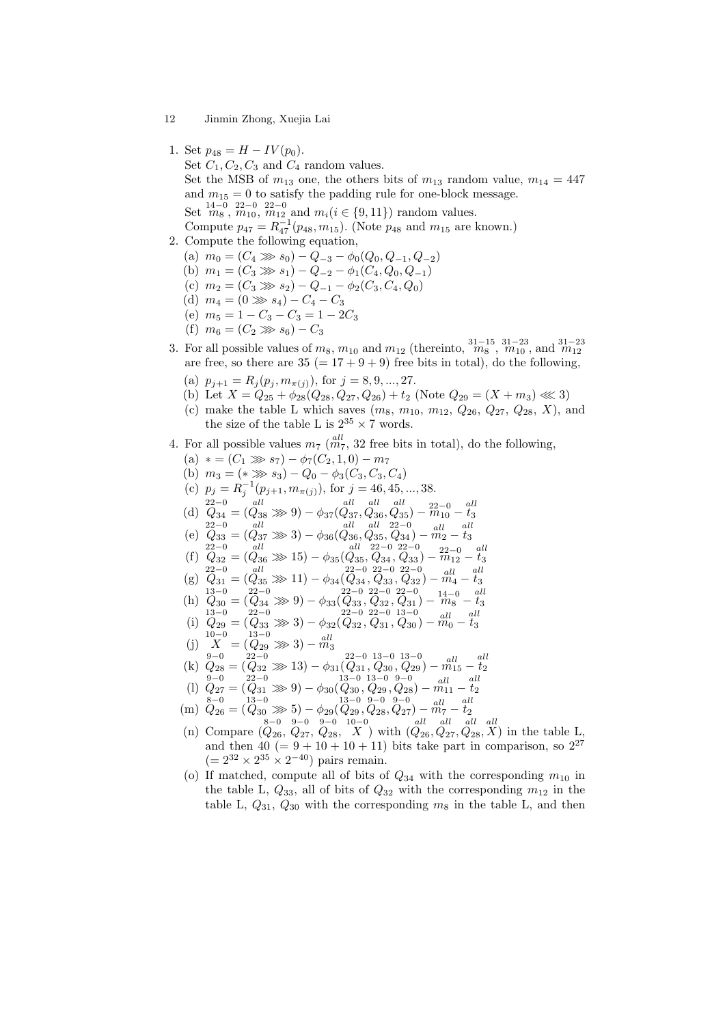- 12 Jinmin Zhong, Xuejia Lai
- 1. Set  $p_{48} = H IV(p_0)$ .

Set  $C_1, C_2, C_3$  and  $C_4$  random values.

Set the MSB of  $m_{13}$  one, the others bits of  $m_{13}$  random value,  $m_{14} = 447$ and  $m_{15} = 0$  to satisfy the padding rule for one-block message. Set  $\stackrel{14-0}{m_8}$ ,  $\stackrel{22-0}{m_{10}}$ ,  $\stackrel{22-0}{m_{12}}$  and  $m_i(i \in \{9, 11\})$  random values.

Compute  $p_{47} = R_{47}^{-1}(p_{48}, m_{15})$ . (Note  $p_{48}$  and  $m_{15}$  are known.)

- 2. Compute the following equation,
	- (a)  $m_0 = (C_4 \gg s_0) Q_{-3} \phi_0(Q_0, Q_{-1}, Q_{-2})$
	- (b)  $m_1 = (C_3 \gg s_1) Q_{-2} \phi_1(C_4, Q_0, Q_{-1})$
	- (c)  $m_2 = (C_3 \gg s_2) Q_{-1} \phi_2(C_3, C_4, Q_0)$ (d)  $m_4 = (0 \gg s_4) - C_4 - C_3$
	- (e)  $m_5 = 1 C_3 C_3 = 1 2C_3$
	-
	- (f)  $m_6 = (C_2 \gg s_6) C_3$
- 3. For all possible values of  $m_8$ ,  $m_{10}$  and  $m_{12}$  (thereinto,  $\frac{31-15}{m_8}$ ,  $\frac{31-23}{m_{10}}$ , and  $\frac{31-23}{m_{12}}$ are free, so there are  $35 (= 17 + 9 + 9)$  free bits in total), do the following,
	- (a)  $p_{i+1} = R_i(p_i, m_{\pi(i)})$ , for  $j = 8, 9, ..., 27$ .
	- (b) Let  $X = Q_{25} + \phi_{28}(Q_{28}, Q_{27}, Q_{26}) + t_2$  (Note  $Q_{29} = (X + m_3) \ll 3$ )
	- (c) make the table L which saves  $(m_8, m_{10}, m_{12}, Q_{26}, Q_{27}, Q_{28}, X)$ , and the size of the table L is  $2^{35} \times 7$  words.
- 4. For all possible values  $m_7 \left( \frac{all}{m_7}, 32 \right)$  free bits in total), do the following,
	- (a)  $* = (C_1 \gg s_7) \phi_7(C_2, 1, 0) m_7$
	- (b)  $m_3 = (* \gg s_3) Q_0 \phi_3(C_3, C_3, C_4)$
	- (c)  $p_j = R_j^{-1}(p_{j+1}, m_{\pi(j)})$ , for  $j = 46, 45, ..., 38$ .  $\left(\begin{smallmatrix} 22-0 & all & all & all & all & all \\ Q_{34} &=(Q_{38} \ggg 9)-\phi_{37}(Q_{37},Q_{36},Q_{35})-m_{10}-t_3 \end{smallmatrix}\right)$
	-
	- (e)  $\frac{22-0}{Q_{33}} = (\frac{all}{Q_{37}} \ggg 3) \phi_{36}(\frac{all}{Q_{36}}, \frac{all}{Q_{35}}, \frac{22-0}{Q_{34}}) \frac{all}{m_2} \frac{all}{t_3}$ <br>  $\frac{all}{22-0} \frac{22-0}{22-0} \frac{all}{22-0}$  $\frac{22-0}{m_{12}}$  – all t3
	- (f)  $Q_{32} = (Q_{36} \gg 15) \phi_{35}(Q_{35}, Q_{34}, Q_{33}) (g)$   $Q_{31} = (Q_{35} \gg 11) - \phi_{34}(Q_{34}, Q_{33}, Q_{32})$  $m_4^{\textit{all}}$  – all t3

$$
(8) \quad 831 = (835 \gg 11) = (934)(834, 833, 832) = m4 = 63
$$
  
\n
$$
(13-0) \quad 22-0 \quad 22-0 \quad 22-0 \quad 24-0 \quad 14-0 \quad 14-0
$$
  
\n
$$
(13-0) \quad 24-0 \quad 24-0 \quad 14-0 \quad 14-0
$$

- (h)  $Q_{30}^{13-0} = (Q_{34}^{22-0} \gg 9) \phi_{33}(Q_{33}, Q_{32}, Q_{31}) \phi_{32-0}^{22-0} \phi_{32-0}^{22-0} \phi_{33-0}^{22-0} \phi_{32-0}^{22-0}$  $m_8$  $-t_3$
- (i)  $Q_{29} = (Q_{33} \gg 3) \phi_{32}(Q_{32}, Q_{31}, Q_{30}) m_0 t_3$ (j)  $X^{10-0} = (Q_{29} \gg 3) - \frac{all}{m_3}$
- 
- (k)  $Q_{28} = (Q_{32} \gg 13) \phi_{31}(Q_{31}, Q_{30}, Q_{29}) m_{15} t_2$
- (1)  $Q_{27} = (Q_{31} \gg 9) \phi_{30}(Q_{30}, Q_{29}, Q_{28}) m_{11}^{all} t_2^{all}$ <br>  $8-0^{13-0} = (Q_{31} \gg 9) \phi_{30}(Q_{30}, Q_{29}, Q_{28}) m_{11}^{all} t_2^{all}$
- 
- (m)  $\hat{Q}_{26} = (\hat{Q}_{30} \gg 5) \phi_{29} (\hat{Q}_{29}, \hat{Q}_{28}, \hat{Q}_{27}) \hat{m}_7 \hat{t}_2$
- (n) Compare  $(Q_{26}, Q_{27}, Q_{28}, X)$  with  $(Q_{26}, Q_{27}, Q_{28}, X)$  in the table L, and then  $40 (= 9 + 10 + 10 + 11)$  bits take part in comparison, so  $2^{27}$  $(= 2^{32} \times 2^{35} \times 2^{-40})$  pairs remain.
- (o) If matched, compute all of bits of  $Q_{34}$  with the corresponding  $m_{10}$  in the table L,  $Q_{33}$ , all of bits of  $Q_{32}$  with the corresponding  $m_{12}$  in the table L,  $Q_{31}$ ,  $Q_{30}$  with the corresponding  $m_8$  in the table L, and then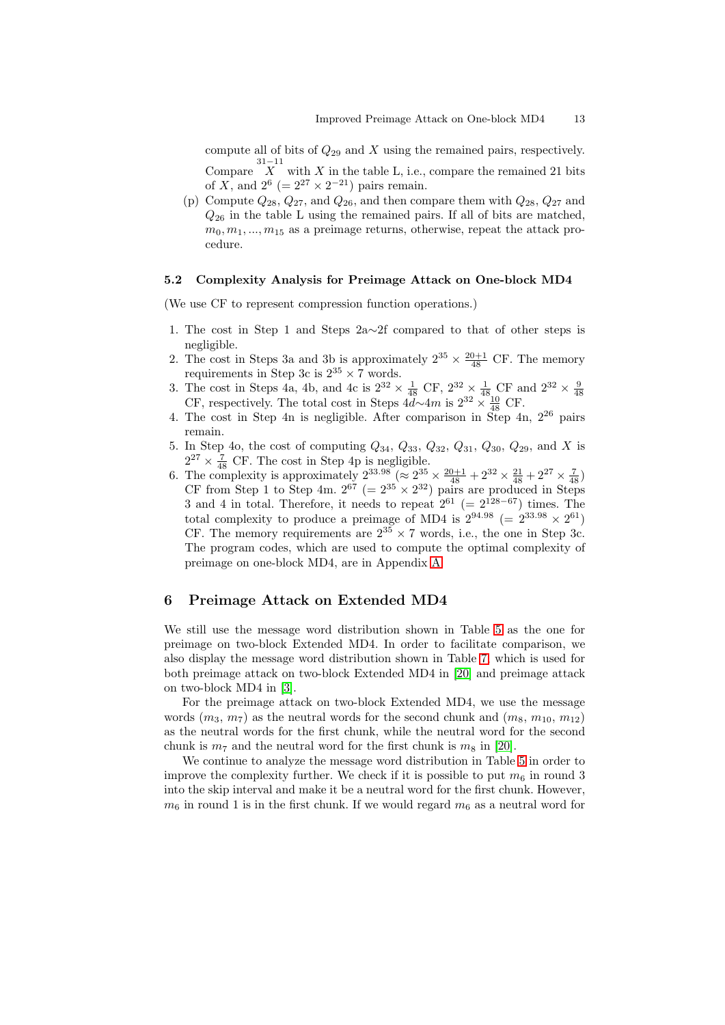compute all of bits of  $Q_{29}$  and X using the remained pairs, respectively. Compare  $\overline{X}$  with X in the table L, i.e., compare the remained 21 bits

of X, and  $2^6$  (=  $2^{27} \times 2^{-21}$ ) pairs remain.

(p) Compute  $Q_{28}$ ,  $Q_{27}$ , and  $Q_{26}$ , and then compare them with  $Q_{28}$ ,  $Q_{27}$  and  $Q_{26}$  in the table L using the remained pairs. If all of bits are matched,  $m_0, m_1, ..., m_{15}$  as a preimage returns, otherwise, repeat the attack procedure.

#### 5.2 Complexity Analysis for Preimage Attack on One-block MD4

(We use CF to represent compression function operations.)

- 1. The cost in Step 1 and Steps 2a∼2f compared to that of other steps is negligible.
- 2. The cost in Steps 3a and 3b is approximately  $2^{35} \times \frac{20+1}{48}$  CF. The memory requirements in Step 3c is  $2^{35} \times 7$  words.
- 3. The cost in Steps 4a, 4b, and 4c is  $2^{32} \times \frac{1}{48}$  CF,  $2^{32} \times \frac{1}{48}$  CF and  $2^{32} \times \frac{9}{48}$  CF, respectively. The total cost in Steps  $4d\sim 4m$  is  $2^{32} \times \frac{10}{48}$  CF.
- 4. The cost in Step 4n is negligible. After comparison in Step 4n, 2<sup>26</sup> pairs remain.
- 5. In Step 4o, the cost of computing  $Q_{34}$ ,  $Q_{33}$ ,  $Q_{32}$ ,  $Q_{31}$ ,  $Q_{30}$ ,  $Q_{29}$ , and X is  $2^{27} \times \frac{7}{48}$  CF. The cost in Step 4p is negligible.
- 6. The complexity is approximately  $2^{33.98}$  ( $\approx 2^{35} \times \frac{20+1}{48} + 2^{32} \times \frac{21}{48} + 2^{27} \times \frac{7}{48}$ ) CF from Step 1 to Step 4m.  $2^{67}$  (=  $2^{35} \times 2^{32}$ ) pairs are produced in Steps 3 and 4 in total. Therefore, it needs to repeat  $2^{61}$  (=  $2^{128-67}$ ) times. The total complexity to produce a preimage of MD4 is  $2^{94.98}$  (=  $2^{33.98} \times 2^{61}$ ) CF. The memory requirements are  $2^{35} \times 7$  words, i.e., the one in Step 3c. The program codes, which are used to compute the optimal complexity of preimage on one-block MD4, are in Appendix A.

### 6 Preimage Attack on Extended MD4

We still use the message word distribution sho[wn](#page-18-0) in Table 5 as the one for preimage on two-block Extended MD4. In order to facilitate comparison, we also display the message word distribution shown in Table 7, which is used for both preimage attack on two-block Extended MD4 in [20] and preimage attack on two-block MD4 in [3].

For the preimage attack on two-block Extended MD4, we use the message words  $(m_3, m_7)$  as the neutral words for the second chunk [an](#page-13-0)d  $(m_8, m_{10}, m_{12})$ as the neutral words for the first chunk, while the ne[utra](#page-17-0)l word for the second chunk is  $m_7$  and the [neu](#page-16-0)tral word for the first chunk is  $m_8$  in [20].

We continue to analyze the message word distribution in Table 5 in order to improve the complexity further. We check if it is possible to put  $m_6$  in round 3 into the skip interval and make it be a neutral word for the first chunk. However,  $m_6$  in round 1 is in the first chunk. If we would regard  $m_6$  as a [neu](#page-17-0)tral word for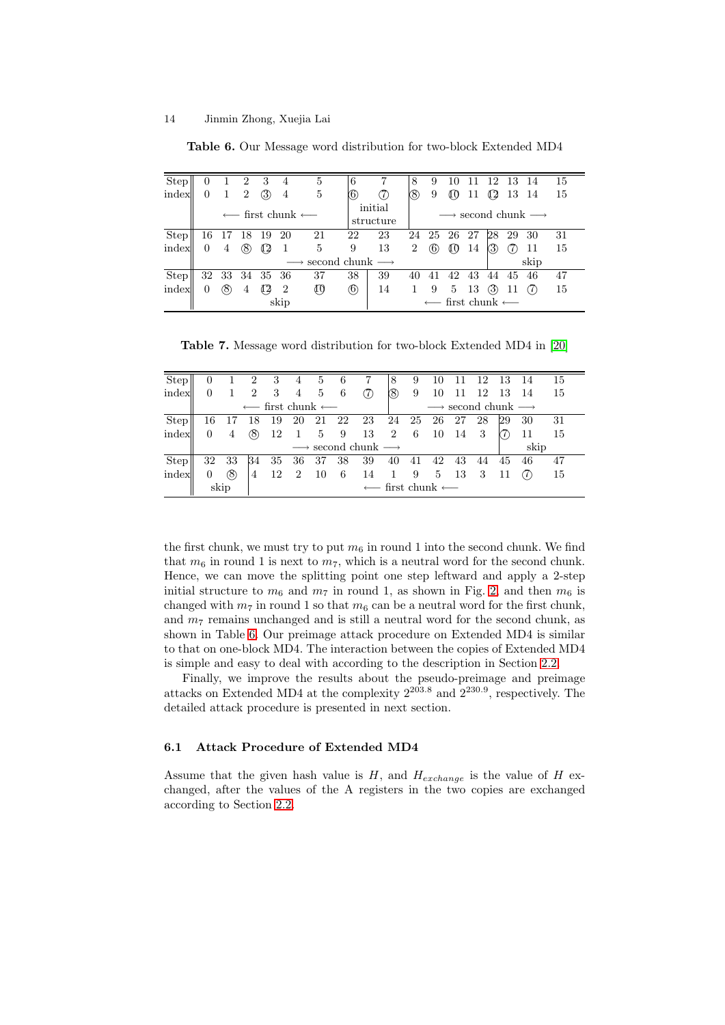<span id="page-13-0"></span>

| <b>Step</b> | $\Omega$       | $\mathbf{1}$ | 2              | - 3 | $\overline{4}$ | 5                                                | 6           |                      | 8   | 9                 | 10   | 11                                            | -12 | 13                                               | - 14 | 15  |  |  |
|-------------|----------------|--------------|----------------|-----|----------------|--------------------------------------------------|-------------|----------------------|-----|-------------------|------|-----------------------------------------------|-----|--------------------------------------------------|------|-----|--|--|
| index       | $\Omega$       |              | $\overline{2}$ | (3) | 4              | 5                                                | $\circledS$ | (1)                  | (8) | 9                 | αu   | 11                                            | 42  | 13 14                                            |      | -15 |  |  |
|             |                |              |                |     |                | $\longleftarrow$ first chunk $\longleftarrow$    |             | initial<br>structure |     |                   |      |                                               |     | $\longrightarrow$ second chunk $\longrightarrow$ |      |     |  |  |
| <b>Step</b> |                |              | 16 17 18 19 20 |     |                | 21                                               | 22          | 23                   | 24  | -25               | 26   | 27                                            | 28  | 29                                               | 30   | 31  |  |  |
| index       | $\Omega$       | 4            | (8)            | 42  |                | 5                                                | 9           | 13                   | 2   | $\left( 6\right)$ | 40   | 14                                            | (3) |                                                  | 11   | 15  |  |  |
|             |                |              |                |     |                | $\longrightarrow$ second chunk $\longrightarrow$ |             |                      |     |                   |      |                                               |     |                                                  | skip |     |  |  |
| Step        |                |              | 32 33 34 35 36 |     |                | 37                                               | 38          | 39                   | 40  | 41                | 42   | 43                                            | 44  | 45                                               | 46   | 47  |  |  |
| index       | $\overline{0}$ | (8)          | 4              | 42  | $\overline{2}$ | $\mathbb{I}^0$                                   | $\circledS$ | 14                   | 1   | 9                 | 5 13 |                                               | (3) | 11                                               | (7)  | 15  |  |  |
|             |                |              |                |     | skip           |                                                  |             |                      |     |                   |      | $\longleftarrow$ first chunk $\longleftarrow$ |     |                                                  |      |     |  |  |

Table 6. Our Message word distribution for two-block Extended MD4

Table 7. Message word distribution for two-block Extended MD4 in [20]

| Step  | $\overline{0}$ |                                               | $\overline{2}$ | 3                         | 4              | 5                | 6   | 7                                                | 8             | 9                                                | 10 | -11  | - 12                      | - 13 | - 14 | 15  |  |  |
|-------|----------------|-----------------------------------------------|----------------|---------------------------|----------------|------------------|-----|--------------------------------------------------|---------------|--------------------------------------------------|----|------|---------------------------|------|------|-----|--|--|
| index | $\theta$       |                                               | 2              | $\overline{\phantom{a}3}$ | $\overline{4}$ | $5\phantom{.00}$ | 6   | (7)                                              | (8)           | 9                                                | 10 | -11  | 12 13 14                  |      |      | 15  |  |  |
|       |                | $\longleftarrow$ first chunk $\longleftarrow$ |                |                           |                |                  |     |                                                  |               | $\longrightarrow$ second chunk $\longrightarrow$ |    |      |                           |      |      |     |  |  |
| Step  | 16             |                                               |                | 18 19                     |                |                  |     | 20 21 22 23 24 25 26 27                          |               |                                                  |    |      | 28                        | 29   | -30  | 31  |  |  |
| index | $\Omega$       | 4                                             | (8)            | 12                        | $\mathbf{1}$   |                  |     | 5 9 13 2 6 10 14 3                               |               |                                                  |    |      |                           |      | 11   | -15 |  |  |
|       |                |                                               |                |                           |                |                  |     | $\longrightarrow$ second chunk $\longrightarrow$ |               |                                                  |    |      |                           |      | skip |     |  |  |
| Step  | 32             | 33                                            | 34             |                           | 35 36 37       |                  |     | 38 39                                            | 40            | -41                                              | 42 | 43   | 44                        | 45   | 46   | 47  |  |  |
| index | 0              | (8)                                           | 4              | 12                        | $\overline{2}$ | -10              | - 6 | -14                                              | $\frac{1}{2}$ | 9                                                |    | 5 13 | $\overline{\phantom{a}3}$ | - 11 |      | 15  |  |  |
|       | skip           |                                               |                |                           |                |                  |     | $\longleftarrow$ first chunk $\longleftarrow$    |               |                                                  |    |      |                           |      |      |     |  |  |

the first chunk, we must try to put  $m_6$  in round 1 into the second chunk. We find that  $m_6$  in round 1 is next to  $m_7$ , which is a neutral word for the second chunk. Hence, we can move the splitting point one step leftward and apply a 2-step initial structure to  $m_6$  and  $m_7$  in round 1, as shown in Fig. 2, and then  $m_6$  is changed with  $m_7$  in round 1 so that  $m_6$  can be a neutral word for the first chunk, and  $m<sub>7</sub>$  remains unchanged and is still a neutral word for the second chunk, as shown in Table 6. Our preimage attack procedure on Extended MD4 is similar to that on one-block MD4. The interaction between the copie[s o](#page-14-0)f Extended MD4 is simple and easy to deal with according to the description in Section 2.2.

Finally, we improve the results about the pseudo-preimage and preimage attacks on Extended MD4 at the complexity  $2^{203.8}$  and  $2^{230.9}$ , respectively. The detailed attack procedure is presented in next section.

#### 6.1 Attack Procedure of Extended MD4

Assume that the given hash value is H, and  $H_{exchange}$  is the value of H exchanged, after the values of the A registers in the two copies are exchanged according to Section 2.2.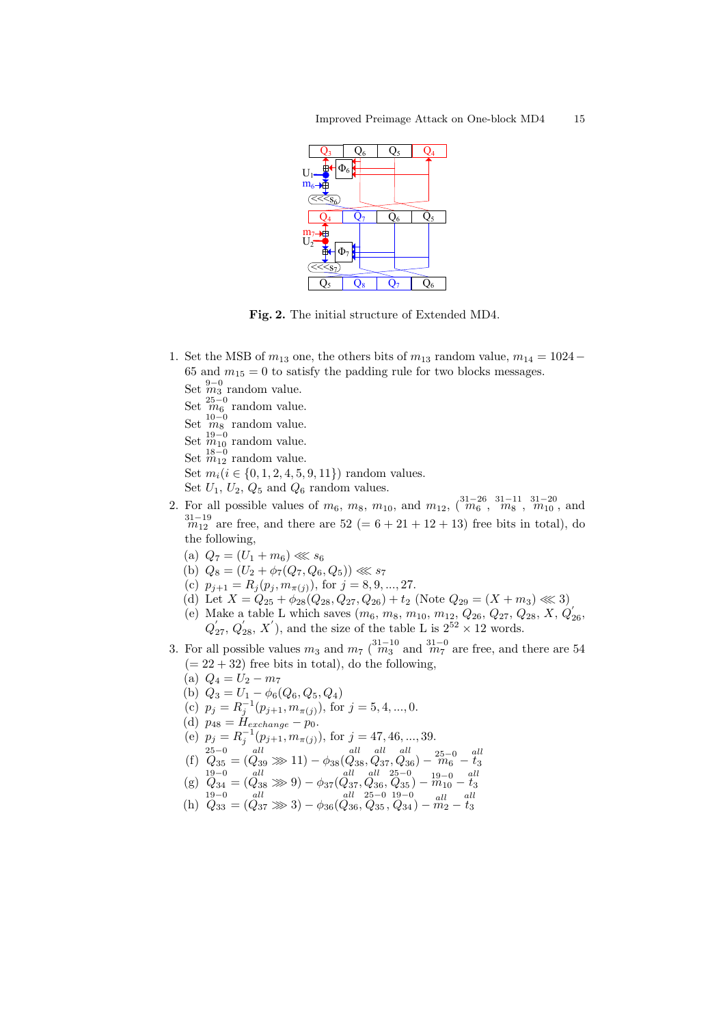<span id="page-14-0"></span>

Fig. 2. The initial structure of Extended MD4.

- 1. Set the MSB of  $m_{13}$  one, the others bits of  $m_{13}$  random value,  $m_{14} = 1024 -$ 65 and  $m_{15} = 0$  to satisfy the padding rule for two blocks messages.
	- Set  $\stackrel{9-0}{m}_3$  random value.
	- Set  $\frac{25-0}{m_6}$  random value.
	- Set  $\frac{10-0}{m_8}$  random value.
	- Set  $\frac{19-0}{m_{10}}$  random value.
	- Set  $\frac{18-0}{m_{12}}$  random value.
	-
	- Set  $m_i (i \in \{0, 1, 2, 4, 5, 9, 11\})$  random values.
- Set  $U_1$ ,  $U_2$ ,  $Q_5$  and  $Q_6$  random values. 2. For all possible values of  $m_6$ ,  $m_8$ ,  $m_{10}$ , and  $m_{12}$ ,  $\left(\begin{matrix} 31-26 & 31-11 & 31-20 \\ m_6 & , & m_8 \end{matrix}\right)$ , and
- $31-19$   $m_{12}$  are free, and there are  $52 (= 6 + 21 + 12 + 13)$  free bits in total), do the following,
	- (a)  $Q_7 = (U_1 + m_6) \ll s_6$
	- (b)  $Q_8 = (U_2 + \phi_7(Q_7, Q_6, Q_5)) \ll s_7$
	- (c)  $p_{j+1} = R_j(p_j, m_{\pi(j)})$ , for  $j = 8, 9, ..., 27$ .
	- (d) Let  $X = Q_{25} + \phi_{28}(Q_{28}, Q_{27}, Q_{26}) + t_2$  (Note  $Q_{29} = (X + m_3) \ll 3$ )
	- (e) Make a table L which saves  $(m_6, m_8, m_{10}, m_{12}, Q_{26}, Q_{27}, Q_{28}, X, Q'_{26},$  $Q'_{27}$ ,  $Q'_{28}$ , X'), and the size of the table L is  $2^{52} \times 12$  words.
- 3. For all possible values  $m_3$  and  $m_7$  ( $\frac{31-10}{m_3}$  and  $\frac{31-0}{m_7}$  are free, and there are 54  $(= 22 + 32)$  free bits in total), do the following,
	- (a)  $Q_4 = U_2 m_7$
	- (b)  $Q_3 = U_1 \phi_6(Q_6, Q_5, Q_4)$
	- (c)  $p_j = R_j^{-1}(p_{j+1}, m_{\pi(j)})$ , for  $j = 5, 4, ..., 0$ .
	- (d)  $p_{48} = H_{exchange} p_0$ .
	- (e)  $p_j = R_j^{-1}(p_{j+1}, m_{\pi(j)})$ , for  $j = 47, 46, ..., 39$ .
	- $(1)$   $\overline{Q}_{35}^{25-0} = (Q_{39}^{all}) \gg 11) \phi_{38}(Q_{38}^{all}, Q_{37}^{all}, Q_{36}^{all}) \overline{m_6} \overline{t_3}$
	- $(g)$   $Q_{34} = (Q_{38} \gg 9) \phi_{37}(Q_{37}, Q_{36}, Q_{35}) m_{10} t_3$
	- (h)  $Q_{33} = (Q_{37} \gg 3) \phi_{36}(Q_{36}, Q_{35}, Q_{34}) m_2 t_3$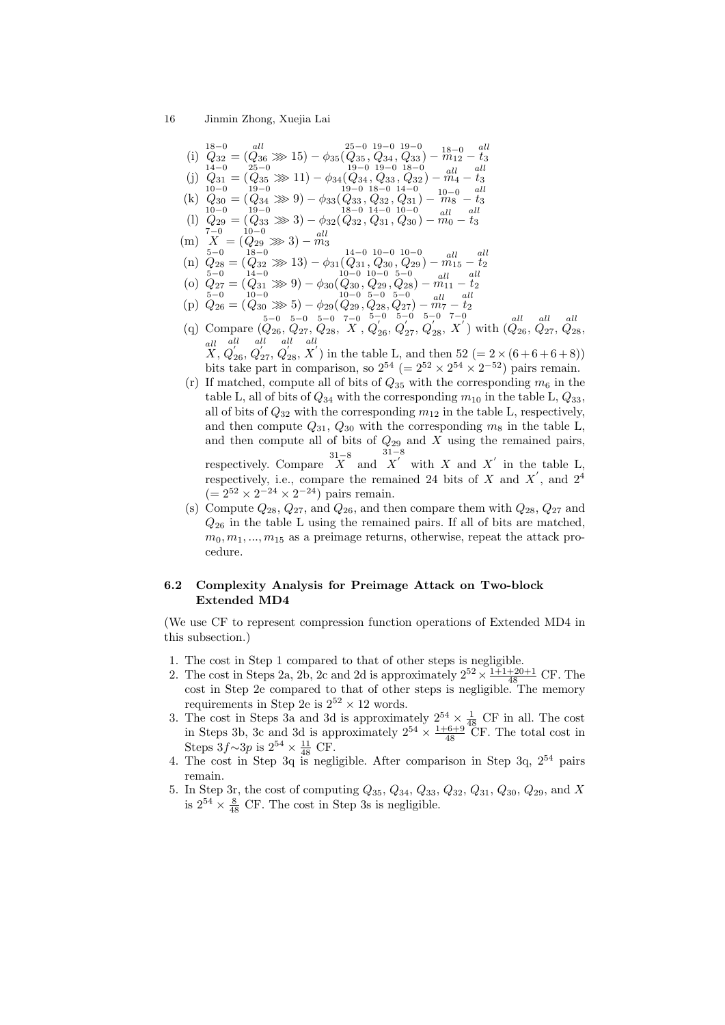(i) 
$$
Q_{32} = (Q_{36} \gg 15) - \phi_{35}(Q_{35}, Q_{34}, Q_{33}) - \frac{18-0}{m_{12}} - \frac{all}{t_3}
$$
  
\n(j)  $Q_{31} = (Q_{35} \gg 11) - \phi_{34}(Q_{34}, Q_{33}, Q_{32}) - \frac{all}{ml} - \frac{all}{t_3}$   
\n(k)  $Q_{30} = (Q_{34} \gg 9) - \phi_{33}(Q_{33}, Q_{32}, Q_{31}) - \frac{all}{m_6} - \frac{all}{t_3}$   
\n(k)  $Q_{30} = (Q_{34} \gg 9) - \phi_{33}(Q_{33}, Q_{32}, Q_{31}) - \frac{un}{m_8} - \frac{t_3}{t_3}$   
\n(l)  $Q_{29} = (Q_{33} \gg 3) - \phi_{32}(Q_{32}, Q_{31}, Q_{30}) - \frac{all}{m_0} - \frac{all}{t_3}$   
\n(m)  $\begin{matrix} 10-0 & 19-0 \\ 7-0 & 19-0 \\ 7-0 & 19-0 \end{matrix}$   
\n(n)  $\begin{matrix} 7-0 & 18-0 \\ 2 & 7-0 \\ 7 & 7-0 \\ 7 & 7-0 \\ 7 & 7-0 \\ 7 & 7-0 \\ 7 & 7-0 \\ 7 & 7-0 \\ 7 & 7-0 \\ 7 & 7-0 \\ 7 & 7-0 \\ 7 & 7-0 \\ 7 & 7-0 \\ 7 & 7-0 \\ 7 & 7-0 \\ 7 & 7-0 \\ 7 & 7-0 \\ 7 & 7-0 \\ 7 & 7-0 \\ 7 & 7-0 \\ 7 & 7-0 \\ 7 & 7-0 \\ 7 & 7-0 \\ 7 & 7-0 \\ 7 & 7-0 \\ 7 & 7-0 \\ 7 & 7-0 \\ 7 & 7-0 \\ 7 & 7-0 \\ 7 & 7-0 \\ 7 & 7-0 \\ 7 & 7-0 \\ 7 & 7-0 \\ 7 & 7-0 \\ 7 & 7-0 \\ 7 & 7-0 \\ 7 & 7-0 \\ 7 & 7-0 \\ 7 & 7-0 \\ 7 & 7-0 \\ 7 & 7-0 \\ 7 & 7-0 \\ 7 & 7-0 \\ 7 & 7-$ 

(q) Compare  $(Q_{26}, Q_{27}, Q_{28}, X,$  $Q'_{26}$  $Q'_{27}$  $Q_{28}'$  $\stackrel{d=0}{X'}$  with  $\stackrel{all}{(Q_{26},\,Q_{27},\,Q_{28})}$ all X, all  $Q_{26}^{'},$ all  $Q_{27}^{'},$ all  $Q_{28}^{'},$ all  $X'$  in the table L, and then 52 (= 2 × (6+6+6+8))

bits take part in comparison, so  $2^{54}$  (=  $2^{52} \times 2^{54} \times 2^{-52}$ ) pairs remain.

(r) If matched, compute all of bits of  $Q_{35}$  with the corresponding  $m_6$  in the table L, all of bits of  $Q_{34}$  with the corresponding  $m_{10}$  in the table L,  $Q_{33}$ , all of bits of  $Q_{32}$  with the corresponding  $m_{12}$  in the table L, respectively, and then compute  $Q_{31}$ ,  $Q_{30}$  with the corresponding  $m_8$  in the table L, and then compute all of bits of  $Q_{29}$  and X using the remained pairs, respectively. Compare  $X$  and 31−8  $X'$  with X and X' in the table L,

respectively, i.e., compare the remained 24 bits of X and  $X'$ , and  $2^4$  $(= 2^{52} \times 2^{-24} \times 2^{-24})$  pairs remain.

(s) Compute  $Q_{28}$ ,  $Q_{27}$ , and  $Q_{26}$ , and then compare them with  $Q_{28}$ ,  $Q_{27}$  and  $Q_{26}$  in the table L using the remained pairs. If all of bits are matched,  $m_0, m_1, ..., m_{15}$  as a preimage returns, otherwise, repeat the attack procedure.

## 6.2 Complexity Analysis for Preimage Attack on Two-block Extended MD4

(We use CF to represent compression function operations of Extended MD4 in this subsection.)

- 1. The cost in Step 1 compared to that of other steps is negligible.
- 2. The cost in Steps 2a, 2b, 2c and 2d is approximately  $2^{52} \times \frac{1+1+20+1}{48}$  CF. The cost in Step 2e compared to that of other steps is negligible. The memory requirements in Step 2e is  $2^{52} \times 12$  words.
- 3. The cost in Steps 3a and 3d is approximately  $2^{54} \times \frac{1}{48}$  CF in all. The cost in Steps 3b, 3c and 3d is approximately  $2^{54} \times \frac{1+6+9}{48}$  CF. The total cost in Steps  $3f\sim 3p$  is  $2^{54} \times \frac{11}{48}$  CF.
- 4. The cost in Step 3q is negligible. After comparison in Step 3q,  $2^{54}$  pairs remain.
- 5. In Step 3r, the cost of computing  $Q_{35}$ ,  $Q_{34}$ ,  $Q_{33}$ ,  $Q_{32}$ ,  $Q_{31}$ ,  $Q_{30}$ ,  $Q_{29}$ , and X is  $2^{54} \times \frac{8}{48}$  CF. The cost in Step 3s is negligible.

<sup>16</sup> Jinmin Zhong, Xuejia Lai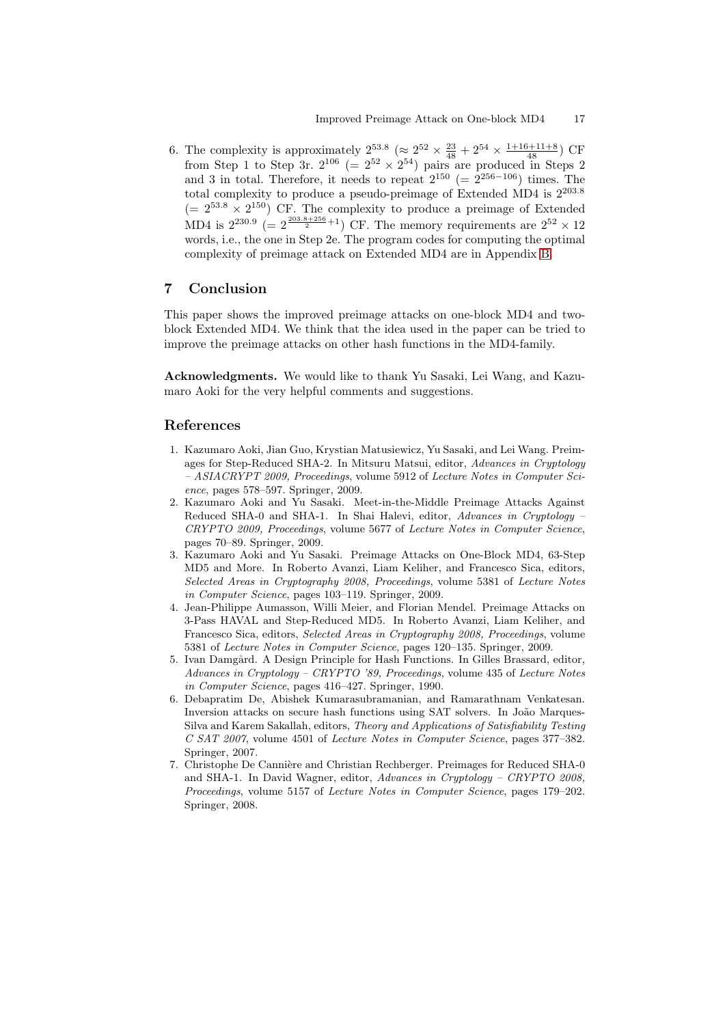<span id="page-16-0"></span>6. The complexity is approximately  $2^{53.8}$  ( $\approx 2^{52} \times \frac{23}{48} + 2^{54} \times \frac{1+16+11+8}{48}$ ) CF from Step 1 to Step 3r.  $2^{106}$  (=  $2^{52} \times 2^{54}$ ) pairs are produced in Steps 2 and 3 in total. Therefore, it needs to repeat  $2^{150}$  (=  $2^{256-106}$ ) times. The total complexity to produce a pseudo-preimage of Extended MD4 is 2<sup>203</sup>.<sup>8</sup>  $(= 2^{53.8} \times 2^{150})$  CF. The complexity to produce a preimage of Extended MD4 is  $2^{230.9}$  (=  $2^{\frac{203.8+256}{2}+1}$ ) CF. The memory requirements are  $2^{52} \times 12$ words, i.e., the one in Step 2e. The program codes for computing the optimal complexity of preimage attack on Extended MD4 are in Appendix B.

# 7 Conclusion

This paper shows the improved preimage attacks on one-block MD4 [an](#page-20-0)d twoblock Extended MD4. We think that the idea used in the paper can be tried to improve the preimage attacks on other hash functions in the MD4-family.

Acknowledgments. We would like to thank Yu Sasaki, Lei Wang, and Kazumaro Aoki for the very helpful comments and suggestions.

### References

- 1. Kazumaro Aoki, Jian Guo, Krystian Matusiewicz, Yu Sasaki, and Lei Wang. Preimages for Step-Reduced SHA-2. In Mitsuru Matsui, editor, Advances in Cryptology – ASIACRYPT 2009, Proceedings, volume 5912 of Lecture Notes in Computer Science, pages 578–597. Springer, 2009.
- 2. Kazumaro Aoki and Yu Sasaki. Meet-in-the-Middle Preimage Attacks Against Reduced SHA-0 and SHA-1. In Shai Halevi, editor, Advances in Cryptology – CRYPTO 2009, Proceedings, volume 5677 of Lecture Notes in Computer Science, pages 70–89. Springer, 2009.
- 3. Kazumaro Aoki and Yu Sasaki. Preimage Attacks on One-Block MD4, 63-Step MD5 and More. In Roberto Avanzi, Liam Keliher, and Francesco Sica, editors, Selected Areas in Cryptography 2008, Proceedings, volume 5381 of Lecture Notes in Computer Science, pages 103–119. Springer, 2009.
- 4. Jean-Philippe Aumasson, Willi Meier, and Florian Mendel. Preimage Attacks on 3-Pass HAVAL and Step-Reduced MD5. In Roberto Avanzi, Liam Keliher, and Francesco Sica, editors, Selected Areas in Cryptography 2008, Proceedings, volume 5381 of Lecture Notes in Computer Science, pages 120–135. Springer, 2009.
- 5. Ivan Damgård. A Design Principle for Hash Functions. In Gilles Brassard, editor, Advances in Cryptology – CRYPTO '89, Proceedings, volume 435 of Lecture Notes in Computer Science, pages 416–427. Springer, 1990.
- 6. Debapratim De, Abishek Kumarasubramanian, and Ramarathnam Venkatesan. Inversion attacks on secure hash functions using SAT solvers. In João Marques-Silva and Karem Sakallah, editors, Theory and Applications of Satisfiability Testing C SAT 2007, volume 4501 of Lecture Notes in Computer Science, pages 377–382. Springer, 2007.
- 7. Christophe De Cannière and Christian Rechberger. Preimages for Reduced SHA-0 and SHA-1. In David Wagner, editor, Advances in Cryptology – CRYPTO 2008, Proceedings, volume 5157 of Lecture Notes in Computer Science, pages 179–202. Springer, 2008.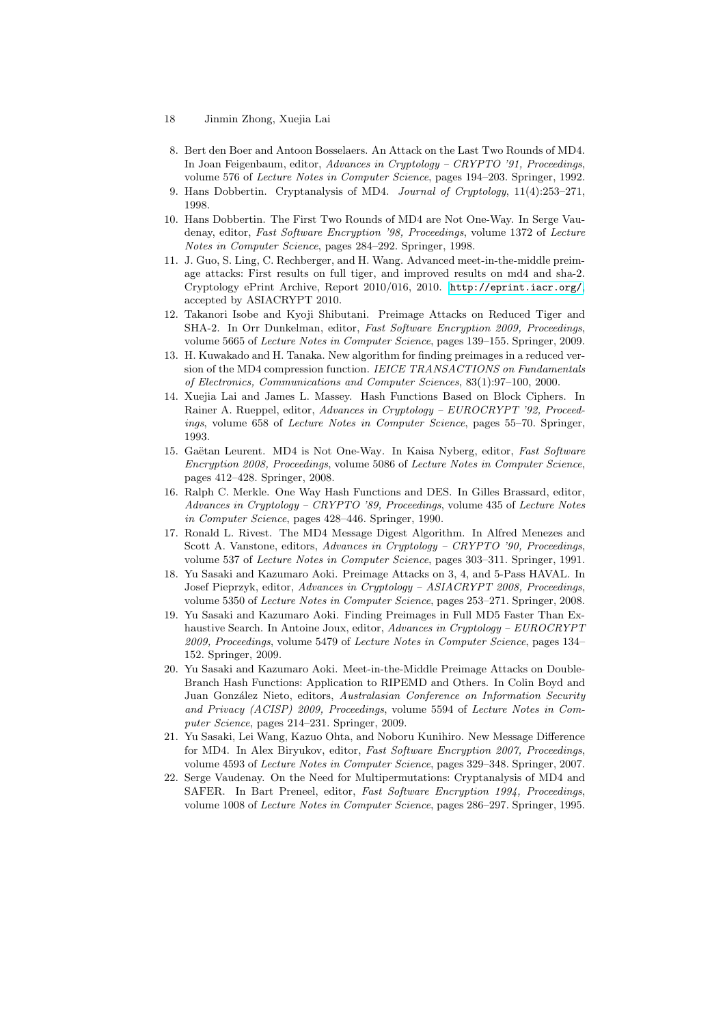- 8. Bert den Boer and Antoon Bosselaers. An Attack on the Last Two Rounds of MD4. In Joan Feigenbaum, editor, Advances in Cryptology – CRYPTO '91, Proceedings, volume 576 of Lecture Notes in Computer Science, pages 194–203. Springer, 1992.
- 9. Hans Dobbertin. Cryptanalysis of MD4. Journal of Cryptology, 11(4):253–271, 1998.
- 10. Hans Dobbertin. The First Two Rounds of MD4 are Not One-Way. In Serge Vaudenay, editor, Fast Software Encryption '98, Proceedings, volume 1372 of Lecture Notes in Computer Science, pages 284–292. Springer, 1998.
- 11. J. Guo, S. Ling, C. Rechberger, and H. Wang. Advanced meet-in-the-middle preimage attacks: First results on full tiger, and improved results on md4 and sha-2. Cryptology ePrint Archive, Report 2010/016, 2010. http://eprint.iacr.org/, accepted by ASIACRYPT 2010.
- 12. Takanori Isobe and Kyoji Shibutani. Preimage Attacks on Reduced Tiger and SHA-2. In Orr Dunkelman, editor, Fast Software Encryption 2009, Proceedings, volume 5665 of Lecture Notes in Computer Science, pages 139–155. Springer, 2009.
- 13. H. Kuwakado and H. Tanaka. New algorithm for findin[g preimages in a reduced ver](http://eprint.iacr.org/)sion of the MD4 compression function. IEICE TRANSACTIONS on Fundamentals of Electronics, Communications and Computer Sciences, 83(1):97–100, 2000.
- 14. Xuejia Lai and James L. Massey. Hash Functions Based on Block Ciphers. In Rainer A. Rueppel, editor, Advances in Cryptology – EUROCRYPT '92, Proceedings, volume 658 of Lecture Notes in Computer Science, pages 55–70. Springer, 1993.
- 15. Gaëtan Leurent. MD4 is Not One-Way. In Kaisa Nyberg, editor, Fast Software Encryption 2008, Proceedings, volume 5086 of Lecture Notes in Computer Science, pages 412–428. Springer, 2008.
- 16. Ralph C. Merkle. One Way Hash Functions and DES. In Gilles Brassard, editor, Advances in Cryptology – CRYPTO '89, Proceedings, volume 435 of Lecture Notes in Computer Science, pages 428–446. Springer, 1990.
- 17. Ronald L. Rivest. The MD4 Message Digest Algorithm. In Alfred Menezes and Scott A. Vanstone, editors, Advances in Cryptology – CRYPTO '90, Proceedings, volume 537 of Lecture Notes in Computer Science, pages 303–311. Springer, 1991.
- 18. Yu Sasaki and Kazumaro Aoki. Preimage Attacks on 3, 4, and 5-Pass HAVAL. In Josef Pieprzyk, editor, Advances in Cryptology – ASIACRYPT 2008, Proceedings, volume 5350 of Lecture Notes in Computer Science, pages 253–271. Springer, 2008.
- 19. Yu Sasaki and Kazumaro Aoki. Finding Preimages in Full MD5 Faster Than Exhaustive Search. In Antoine Joux, editor, Advances in Cryptology – EUROCRYPT 2009, Proceedings, volume 5479 of Lecture Notes in Computer Science, pages 134– 152. Springer, 2009.
- 20. Yu Sasaki and Kazumaro Aoki. Meet-in-the-Middle Preimage Attacks on Double-Branch Hash Functions: Application to RIPEMD and Others. In Colin Boyd and Juan González Nieto, editors, Australasian Conference on Information Security and Privacy (ACISP) 2009, Proceedings, volume 5594 of Lecture Notes in Computer Science, pages 214–231. Springer, 2009.
- 21. Yu Sasaki, Lei Wang, Kazuo Ohta, and Noboru Kunihiro. New Message Difference for MD4. In Alex Biryukov, editor, Fast Software Encryption 2007, Proceedings, volume 4593 of Lecture Notes in Computer Science, pages 329–348. Springer, 2007.
- 22. Serge Vaudenay. On the Need for Multipermutations: Cryptanalysis of MD4 and SAFER. In Bart Preneel, editor, Fast Software Encryption 1994, Proceedings, volume 1008 of Lecture Notes in Computer Science, pages 286–297. Springer, 1995.

<span id="page-17-0"></span><sup>18</sup> Jinmin Zhong, Xuejia Lai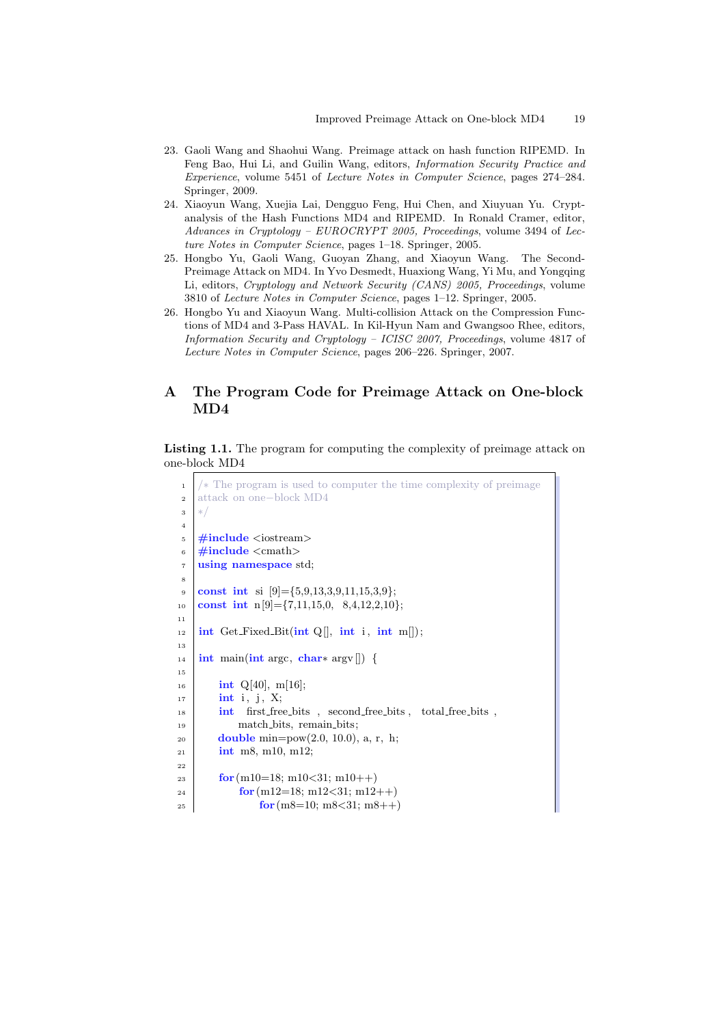- <span id="page-18-0"></span>23. Gaoli Wang and Shaohui Wang. Preimage attack on hash function RIPEMD. In Feng Bao, Hui Li, and Guilin Wang, editors, Information Security Practice and Experience, volume 5451 of Lecture Notes in Computer Science, pages 274–284. Springer, 2009.
- 24. Xiaoyun Wang, Xuejia Lai, Dengguo Feng, Hui Chen, and Xiuyuan Yu. Cryptanalysis of the Hash Functions MD4 and RIPEMD. In Ronald Cramer, editor, Advances in Cryptology – EUROCRYPT 2005, Proceedings, volume 3494 of Lecture Notes in Computer Science, pages 1–18. Springer, 2005.
- 25. Hongbo Yu, Gaoli Wang, Guoyan Zhang, and Xiaoyun Wang. The Second-Preimage Attack on MD4. In Yvo Desmedt, Huaxiong Wang, Yi Mu, and Yongqing Li, editors, Cryptology and Network Security (CANS) 2005, Proceedings, volume 3810 of Lecture Notes in Computer Science, pages 1–12. Springer, 2005.
- 26. Hongbo Yu and Xiaoyun Wang. Multi-collision Attack on the Compression Functions of MD4 and 3-Pass HAVAL. In Kil-Hyun Nam and Gwangsoo Rhee, editors, Information Security and Cryptology – ICISC 2007, Proceedings, volume 4817 of Lecture Notes in Computer Science, pages 206–226. Springer, 2007.

# A The Program Code for Preimage Attack on One-block MD4

Listing 1.1. The program for computing the complexity of preimage attack on one-block MD4

```
1 / * The program is used to computer the time complexity of preimage
2 attack on one−block MD4
3 ∗/
4
\frac{1}{5} #include <iostream>
6 \mid \text{\#include} < \text{cmath}<sup>7</sup> using namespace std;
8
\bullet const int si [9]={5,9,13,3,9,11,15,3,9};
10 const int n[9]={7,11,15,0, 8,4,12,2,10};
11
12 int Get_Fixed_Bit(int Q[[, int i, int m]]);13
_{14} int main(int argc, char* argv[]) {
15
_{16} int Q[40], m[16];
_{17} | int i, j, X;
18 int first free bits, second free bits, total free bits,
19 match_bits, remain_bits;
20 double min=pow(2.0, 10.0), a, r, h;
_{21} int m8, m10, m12;
22
_{23} for (m10=18; m10<31; m10++)
_{24} for (m12=18; m12<31; m12++)
25 for (m8=10; m8<31; m8++)
```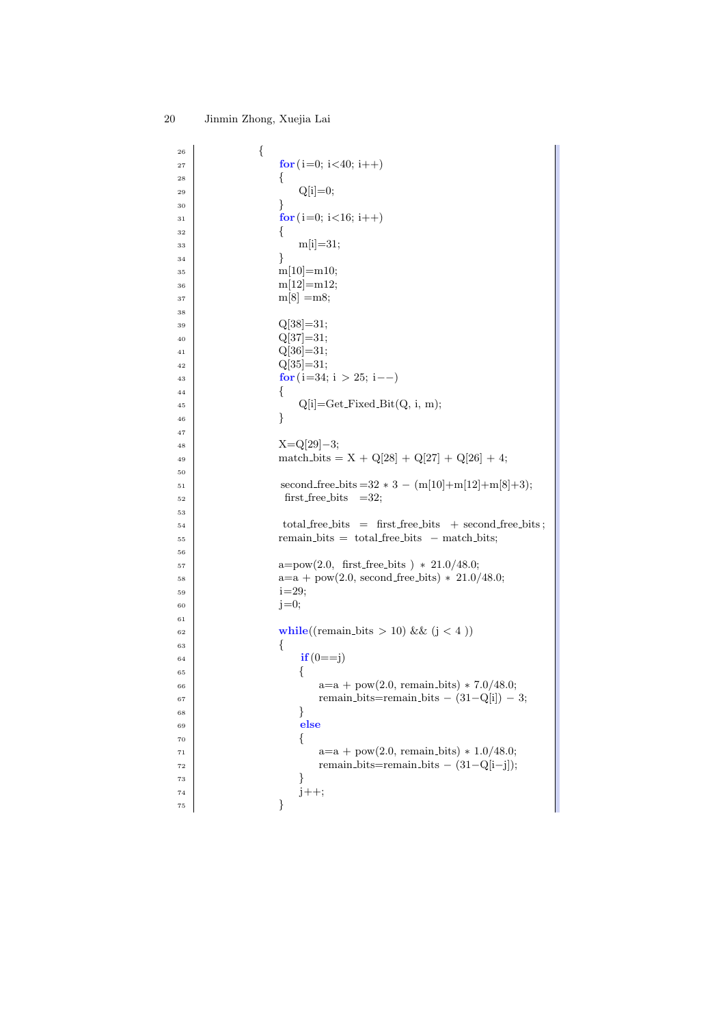| 26       | {                                                             |
|----------|---------------------------------------------------------------|
| 27       | for $(i=0; i<40; i++)$                                        |
| 28       | {                                                             |
| 29       | $Q[i]=0;$                                                     |
| 30       | ł                                                             |
| 31       | for $(i=0; i<16; i++)$                                        |
| 32       | {                                                             |
| 33       | $m[i]=31;$                                                    |
| 34       | ł                                                             |
| 35       | $m[10] = m10;$                                                |
| 36       | $m[12] = m12;$                                                |
| 37       | $m[8] = m8;$                                                  |
| 38       |                                                               |
| 39       | $Q[38]=31;$                                                   |
| 40       | $Q[37]=31;$                                                   |
| 41       | $Q[36]=31;$                                                   |
| 42       | $Q[35]=31;$                                                   |
| 43       | for $(i=34; i > 25; i--)$                                     |
| 44       | {<br>$Q[i] = Get\_Fixed\_Bit(Q, i, m);$                       |
| 45       | }                                                             |
| 46<br>47 |                                                               |
| 48       | $X = Q[29]-3;$                                                |
| 49       | match_bits = $X + Q[28] + Q[27] + Q[26] + 4;$                 |
| 50       |                                                               |
| 51       | second_free_bits = $32 * 3 - (m[10]+m[12]+m[8]+3);$           |
| 52       | $first-free\_bits = 32;$                                      |
| 53       |                                                               |
| 54       | $total\_free\_bits = first\_free\_bits + second\_free\_bits;$ |
| 55       | $remain\_bits = total\_free\_bits - match\_bits;$             |
| 56       |                                                               |
| 57       | $a = pow(2.0, first-free\_bits) * 21.0/48.0;$                 |
| 58       | $a=a + pow(2.0, second-free\_bits) * 21.0/48.0;$              |
| 59       | $i = 29;$                                                     |
| 60       | $j=0;$                                                        |
| 61       |                                                               |
| 62       | while((remain_bits > 10) & $(j < 4)$ )<br>{                   |
| 63       | $if(0 == j)$                                                  |
| 64<br>65 | {                                                             |
| 66       | $a=a + pow(2.0, remain\_bits) * 7.0/48.0;$                    |
| 67       | remain_bits=remain_bits $- (31-Q[i]) - 3;$                    |
| 68       | }                                                             |
| 69       | else                                                          |
| 70       | {                                                             |
| 71       | $a=a + pow(2.0, remain\_bits) * 1.0/48.0;$                    |
| 72       | remain_bits=remain_bits $- (31-Q[i-j])$ ;                     |
| 73       | }                                                             |
| 74       | $j++;$                                                        |
| $75\,$   | }                                                             |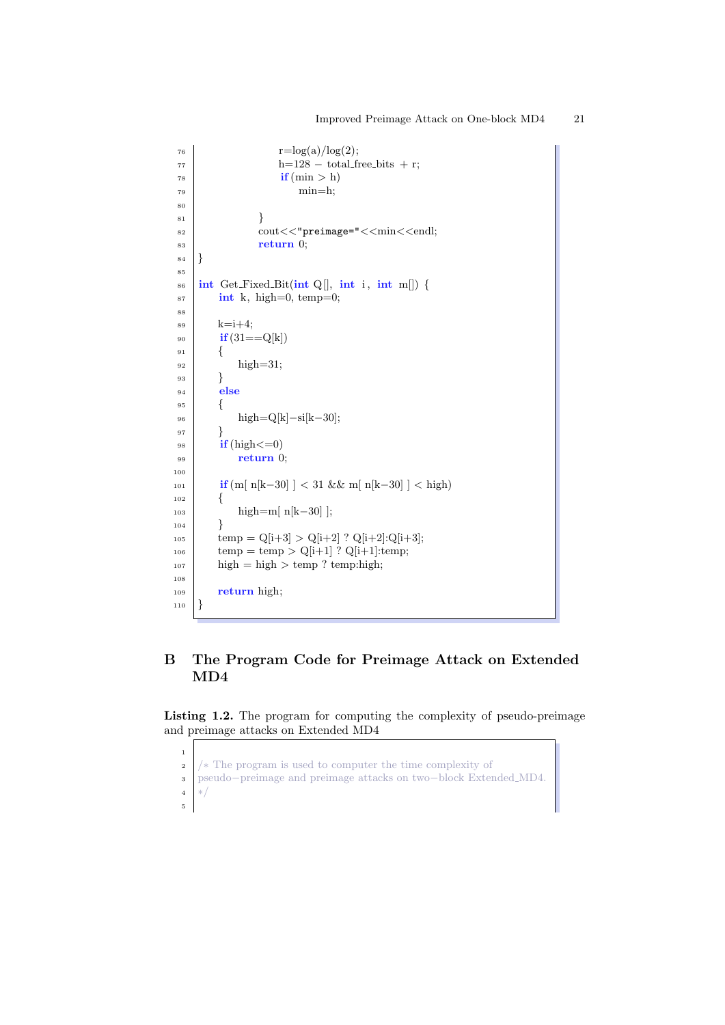```
r=\log(a)/\log(2);h=128 - total\_free\_bits + r;\frac{1}{78} if (min > h)
\min=h;
80
81 }
82 cout <<< "preimage=" << min << endl;
| s \frac{1}{2} return 0;
84 }
85
86 int Get_Fixed_Bit(int Q[], int i, int m[]) {
87 int k, high=0, temp=0;
88
s_9 k=i+4;
90 if(31 == Q[k])91 {
_{92} high=31;
93 }
94 else
95 {
96 high=Q[k]−si[k−30];
97 }
98 if (high < = 0)99 return 0;
100
101 if (m[n[k-30]] < 31 \& \& m[n[k-30]] < high102 {
103 high=m[ n[k−30] ];
104 }
_{105} temp = Q[i+3] > Q[i+2] ? Q[i+2]:Q[i+3];
_{106} temp = temp > Q[i+1] ? Q[i+1]:temp;
_{107} high = high > temp ? temp:high;
108
109 return high;
_{110} }
```
# B The Program Code for Preimage Attack on Extended MD4

Listing 1.2. The program for computing the complexity of pseudo-preimage and preimage attacks on Extended MD4

```
2 \frac{1}{\sqrt{2}} The program is used to computer the time complexity of
3 pseudo−preimage and preimage attacks on two−block Extended MD4.
4 ∗/
5
```
1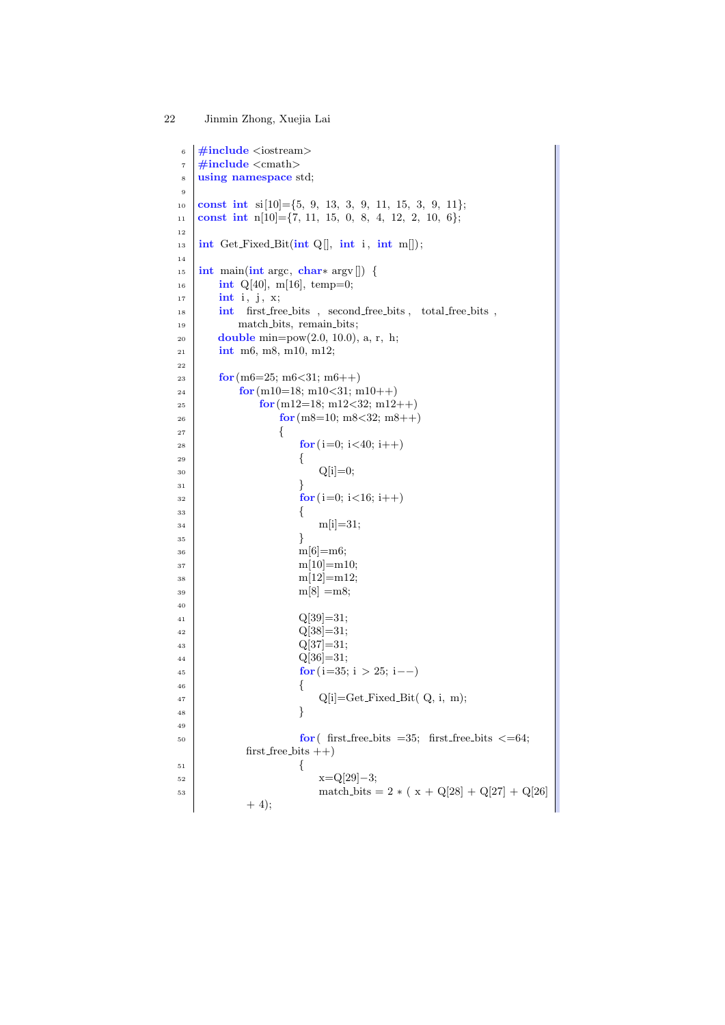```
6 \mid \text{\#include} <i>isstream7 \frac{1}{2}include <cmath>
8 using namespace std;
9
10 const int si[10]={5, 9, 13, 3, 9, 11, 15, 3, 9, 11};
11 const int n[10]={7, 11, 15, 0, 8, 4, 12, 2, 10, 6};
12
13 int Get_Fixed_Bit(int Q[], int i, int m[]);
14
_{15} | int main(int argc, char* argv[]) {
_{16} int Q[40], m[16], temp=0;
_{17} int i, j, x;
18 int first free bits, second free bits, total free bits,
19 match bits, remain bits;
20 double min=pow(2.0, 10.0), a, r, h;
_{21} int m6, m8, m10, m12;
22
23 \mid for (m6=25; m6<31; m6++)
_{24} for (m10=18; m10<31; m10++)
25 for (m12=18; m12<32; m12++)
26 \text{ for (m8=10; m8<32; m8++)}\begin{array}{c|c}\n\text{27} & \text{32} \\
\hline\n\end{array}28 for (i=0; i<40; i++)29 \left\{30 \text{ } Q[i]=0;\begin{array}{c|c}\n31 & \\
31 & \\
31 & \\
31 & \\
31 & \\
31 & \\
32 & \\
33 & \\
33 & \\
34 & \\
35 & \\
36 & \\
37 & \\
38 & \\
39 & \\
30 & \\
31 & \\
32 & \\
33 & \\
34 & \\
35 & \\
36 & \\
37 & \\
38 & \\
39 & \\
31 & \\
32 & \\
33 & \\
34 & \\
35 & \\
36 & \\
37 & \\
38 & \\
39 & \\
31 & \\
32 & \\
33 & \\
34 & \\
35 & \\
37 & \\
38 & \\
39 & \\
31 & \\
32 & \\
33 & \\
34 & \\
35 & \\
37 & \\
38 & \\
39 & \\
31 & \\
31 & \\
32\int_{32}^{32} for (i=0; i<16; i++)
\begin{array}{c|c}\n33 & \end{array}\text{m[i]=31};\begin{array}{c} 35 \end{array} }
36 \text{ m} [6] = \text{m}6;37 \text{ } | m[10]=m10;
\text{38} m[12]=m12;
39 \text{ m}[\text{8}] = \text{m}8;40
_{41} Q[39]=31;
_{42} Q[38]=31;
_{43} Q[37]=31;
Q[36]=31;for(i=35; i > 25; i--)46 \left\{q[i] = Get\_Fixed\_Bit(Q, i, m);48 }
49
\frac{50}{100} for first free bits =35; first free bits <=64;
              first\_free\_bits ++)
\begin{array}{c|c}\n51 & \rightarrow \end{array}x=Q[29]-3;53 \text{ match\_bits} = 2 * (x + Q[28] + Q[27] + Q[26]+ 4);
```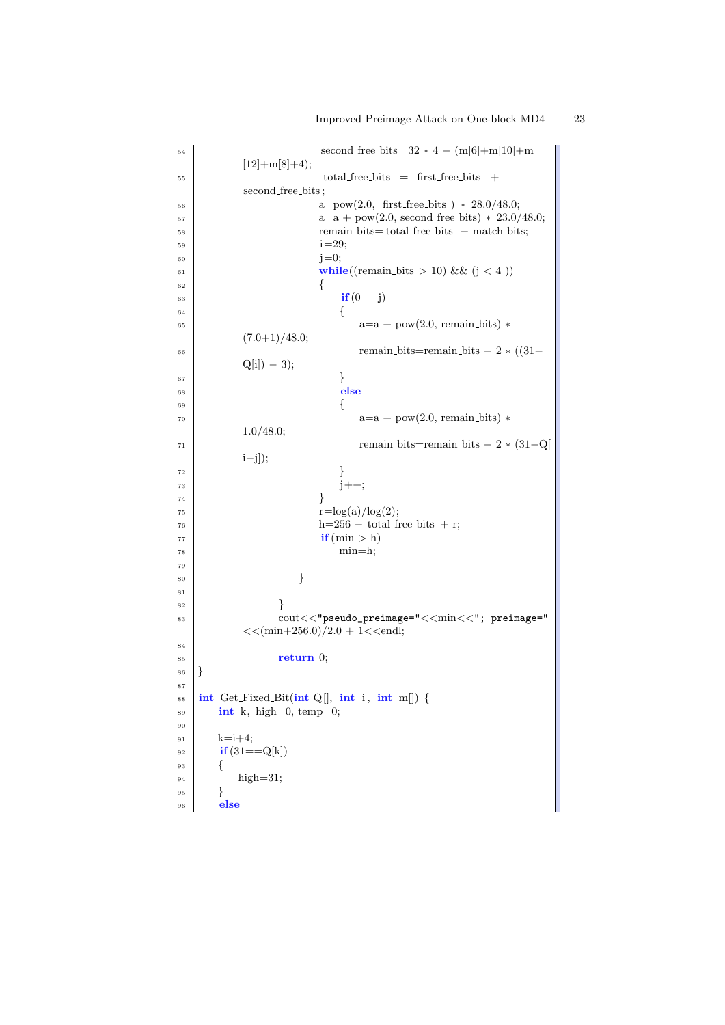```
54 \mid second free bits =32 * 4 - (m[6]+m[10]+m
        [12]+m[8]+4);\text{total-free\_bits} = first_free_bits +
        second free bits ;
a = pow(2.0, first-free\_bits) * 28.0/48.0;a=a + pow(2.0, second-free\_bits) * 23.0/48.0;58 remain bits= total free bits − match bits;
1=29;_{60} j=0;
61 while((remain bits > 10) & (j < 4))
62 \left\{63 if (0 == j)64 \left\{a=a + pow(2.0, remain\_bits) *(7.0+1)/48.0;66 remain bits=remain bits − 2 *(31-Q[i]) − 3);
67 }
68 else
69 {
a=a + pow(2.0, remain\_bits) *1.0/48.0;
r_1 remain bits=remain bits – 2 *(31-Q)i−j]);
\begin{array}{c} \text{72} \\ \end{array}73 \mid j++);
74 }
r=\log(a)/\log(2);h=256 - total free bits + r;
77 \mid if (min > h)
\min=h;
79
80 }
81
82 }
83 cout<<"pseudo_preimage="<<min<<"; preimage="
        <<(min+256.0)/2.0 + 1<<endl;
84
\begin{array}{c|c}\n\text{1} & \text{1} & \text{1} \\
\text{2} & \text{1} & \text{1}\n\end{array}86 | }
87
\text{ss} | int Get_Fixed_Bit(int Q[], int i, int m[]) {
\begin{array}{c|c} \text{ss} & \text{int } k, \text{ high=0, temp=0;} \end{array}90
_{91} k=i+4;
92 \mathbf{if}(31 == Q[k])93 {
_{94} high=31;
95 }
96 else
```